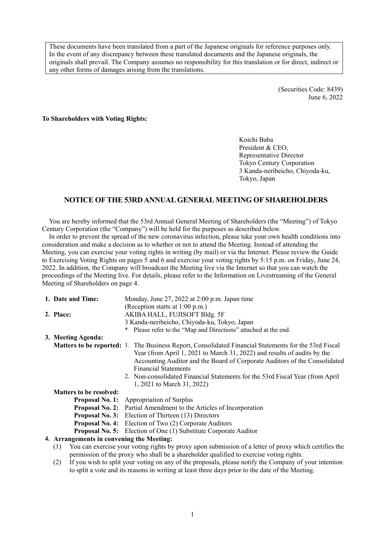These documents have been translated from a part of the Japanese originals for reference purposes only. In the event of any discrepancy between these translated documents and the Japanese originals, the originals shall prevail. The Company assumes no responsibility for this translation or for direct, indirect or any other forms of damages arising from the translations.

> (Securities Code: 8439) June 6, 2022

#### **To Shareholders with Voting Rights:**

Koichi Baba President & CEO Representative Director Tokyo Century Corporation 3 Kanda-neribeicho, Chiyoda-ku, Tokyo, Japan

# **NOTICE OF THE 53RD ANNUAL GENERAL MEETING OF SHAREHOLDERS**

You are hereby informed that the 53rd Annual General Meeting of Shareholders (the "Meeting") of Tokyo Century Corporation (the "Company") will be held for the purposes as described below.

In order to prevent the spread of the new coronavirus infection, please take your own health conditions into consideration and make a decision as to whether or not to attend the Meeting. Instead of attending the Meeting, you can exercise your voting rights in writing (by mail) or via the Internet. Please review the Guide to Exercising Voting Rights on pages 5 and 6 and exercise your voting rights by 5:15 p.m. on Friday, June 24, 2022. In addition, the Company will broadcast the Meeting live via the Internet so that you can watch the proceedings of the Meeting live. For details, please refer to the Information on Livestreaming of the General Meeting of Shareholders on page 4.

| 1. Date and Time:                                                                                            | Monday, June $27$ , $2022$ at $2:00$ p.m. Japan time                                                         |  |  |
|--------------------------------------------------------------------------------------------------------------|--------------------------------------------------------------------------------------------------------------|--|--|
|                                                                                                              | (Reception starts at 1:00 p.m.)                                                                              |  |  |
| 2. Place:                                                                                                    | AKIBA HALL, FUJISOFT Bldg. 5F                                                                                |  |  |
|                                                                                                              | 3 Kanda-neribeicho, Chiyoda-ku, Tokyo, Japan                                                                 |  |  |
|                                                                                                              | Please refer to the "Map and Directions" attached at the end.                                                |  |  |
| 3. Meeting Agenda:                                                                                           |                                                                                                              |  |  |
|                                                                                                              | <b>Matters to be reported:</b> 1. The Business Report, Consolidated Financial Statements for the 53rd Fiscal |  |  |
|                                                                                                              | Year (from April 1, 2021 to March 31, 2022) and results of audits by the                                     |  |  |
|                                                                                                              | Accounting Auditor and the Board of Corporate Auditors of the Consolidated                                   |  |  |
|                                                                                                              | <b>Financial Statements</b>                                                                                  |  |  |
|                                                                                                              | 2. Non-consolidated Financial Statements for the 53rd Fiscal Year (from April                                |  |  |
|                                                                                                              | 1, 2021 to March 31, 2022)                                                                                   |  |  |
| <b>Matters to be resolved:</b>                                                                               |                                                                                                              |  |  |
|                                                                                                              | <b>Proposal No. 1:</b> Appropriation of Surplus                                                              |  |  |
|                                                                                                              | <b>Proposal No. 2:</b> Partial Amendment to the Articles of Incorporation                                    |  |  |
|                                                                                                              | <b>Proposal No. 3:</b> Election of Thirteen (13) Directors                                                   |  |  |
|                                                                                                              | <b>Proposal No. 4:</b> Election of Two (2) Corporate Auditors                                                |  |  |
|                                                                                                              | <b>Proposal No. 5:</b> Election of One (1) Substitute Corporate Auditor                                      |  |  |
| 4. Arrangements in convening the Meeting:                                                                    |                                                                                                              |  |  |
| (1)                                                                                                          | You can exercise your voting rights by proxy upon submission of a letter of proxy which certifies the        |  |  |
|                                                                                                              | permission of the proxy who shall be a shareholder qualified to exercise voting rights.                      |  |  |
| $(2)$ If you wish to split your voting on any of the proposals place operative the Company of your intention |                                                                                                              |  |  |

(2) If you wish to split your voting on any of the proposals, please notify the Company of your intention to split a vote and its reasons in writing at least three days prior to the date of the Meeting.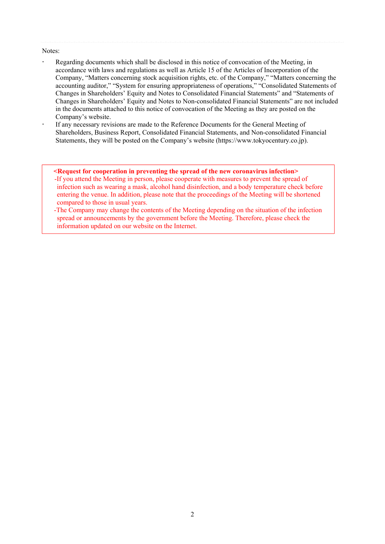#### Notes:

- Regarding documents which shall be disclosed in this notice of convocation of the Meeting, in accordance with laws and regulations as well as Article 15 of the Articles of Incorporation of the Company, "Matters concerning stock acquisition rights, etc. of the Company," "Matters concerning the accounting auditor," "System for ensuring appropriateness of operations," "Consolidated Statements of Changes in Shareholders' Equity and Notes to Consolidated Financial Statements" and "Statements of Changes in Shareholders' Equity and Notes to Non-consolidated Financial Statements" are not included in the documents attached to this notice of convocation of the Meeting as they are posted on the Company's website.
- If any necessary revisions are made to the Reference Documents for the General Meeting of Shareholders, Business Report, Consolidated Financial Statements, and Non-consolidated Financial Statements, they will be posted on the Company's website (https://www.tokyocentury.co.jp).

#### **<Request for cooperation in preventing the spread of the new coronavirus infection>**  -If you attend the Meeting in person, please cooperate with measures to prevent the spread of infection such as wearing a mask, alcohol hand disinfection, and a body temperature check before entering the venue. In addition, please note that the proceedings of the Meeting will be shortened compared to those in usual years.

-The Company may change the contents of the Meeting depending on the situation of the infection spread or announcements by the government before the Meeting. Therefore, please check the information updated on our website on the Internet.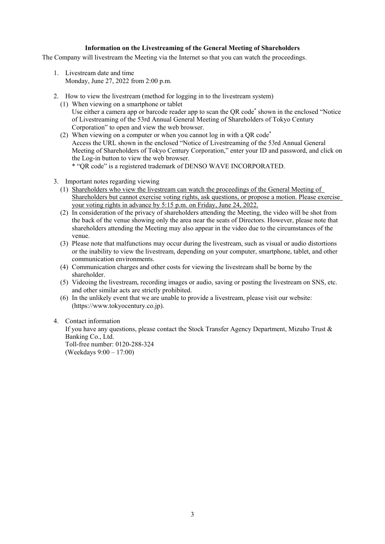#### **Information on the Livestreaming of the General Meeting of Shareholders**

The Company will livestream the Meeting via the Internet so that you can watch the proceedings.

- 1. Livestream date and time Monday, June 27, 2022 from 2:00 p.m.
- 2. How to view the livestream (method for logging in to the livestream system)
	- (1) When viewing on a smartphone or tablet Use either a camera app or barcode reader app to scan the QR code<sup>\*</sup> shown in the enclosed "Notice of Livestreaming of the 53rd Annual General Meeting of Shareholders of Tokyo Century Corporation" to open and view the web browser.
	- (2) When viewing on a computer or when you cannot log in with a QR code\* Access the URL shown in the enclosed "Notice of Livestreaming of the 53rd Annual General Meeting of Shareholders of Tokyo Century Corporation," enter your ID and password, and click on the Log-in button to view the web browser. \* "QR code" is a registered trademark of DENSO WAVE INCORPORATED.
- 3. Important notes regarding viewing
	- (1) Shareholders who view the livestream can watch the proceedings of the General Meeting of Shareholders but cannot exercise voting rights, ask questions, or propose a motion. Please exercise your voting rights in advance by 5:15 p.m. on Friday, June 24, 2022.
	- (2) In consideration of the privacy of shareholders attending the Meeting, the video will be shot from the back of the venue showing only the area near the seats of Directors. However, please note that shareholders attending the Meeting may also appear in the video due to the circumstances of the venue.
	- (3) Please note that malfunctions may occur during the livestream, such as visual or audio distortions or the inability to view the livestream, depending on your computer, smartphone, tablet, and other communication environments.
	- (4) Communication charges and other costs for viewing the livestream shall be borne by the shareholder.
	- (5) Videoing the livestream, recording images or audio, saving or posting the livestream on SNS, etc. and other similar acts are strictly prohibited.
	- (6) In the unlikely event that we are unable to provide a livestream, please visit our website: (https://www.tokyocentury.co.jp).

#### 4. Contact information

If you have any questions, please contact the Stock Transfer Agency Department, Mizuho Trust & Banking Co., Ltd. Toll-free number: 0120-288-324 (Weekdays 9:00 – 17:00)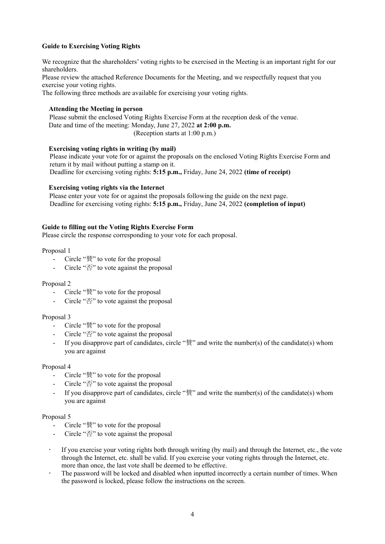# **Guide to Exercising Voting Rights**

We recognize that the shareholders' voting rights to be exercised in the Meeting is an important right for our shareholders.

Please review the attached Reference Documents for the Meeting, and we respectfully request that you exercise your voting rights.

The following three methods are available for exercising your voting rights.

# **Attending the Meeting in person**

Please submit the enclosed Voting Rights Exercise Form at the reception desk of the venue. Date and time of the meeting: Monday, June 27, 2022 **at 2:00 p.m.**  (Reception starts at 1:00 p.m.)

#### **Exercising voting rights in writing (by mail)**

Please indicate your vote for or against the proposals on the enclosed Voting Rights Exercise Form and return it by mail without putting a stamp on it. Deadline for exercising voting rights: **5:15 p.m.,** Friday, June 24, 2022 **(time of receipt)** 

#### **Exercising voting rights via the Internet**

Please enter your vote for or against the proposals following the guide on the next page. Deadline for exercising voting rights: **5:15 p.m.,** Friday, June 24, 2022 **(completion of input)** 

#### **Guide to filling out the Voting Rights Exercise Form**

Please circle the response corresponding to your vote for each proposal.

Proposal 1

- Circle "賛" to vote for the proposal
- Circle "否" to vote against the proposal

Proposal 2

- Circle "賛" to vote for the proposal
- Circle "否" to vote against the proposal

#### Proposal 3

- Circle "賛" to vote for the proposal
- Circle "否" to vote against the proposal
- If you disapprove part of candidates, circle " $\frac{2}{3}$ " and write the number(s) of the candidate(s) whom you are against

#### Proposal 4

- Circle "賛" to vote for the proposal
- Circle "否" to vote against the proposal
- If you disapprove part of candidates, circle "賛" and write the number(s) of the candidate(s) whom you are against

#### Proposal 5

- Circle "賛" to vote for the proposal
- Circle "否" to vote against the proposal
- If you exercise your voting rights both through writing (by mail) and through the Internet, etc., the vote through the Internet, etc. shall be valid. If you exercise your voting rights through the Internet, etc. more than once, the last vote shall be deemed to be effective.
- The password will be locked and disabled when inputted incorrectly a certain number of times. When the password is locked, please follow the instructions on the screen.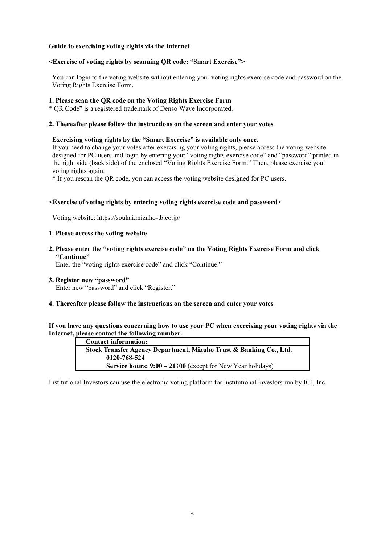#### **Guide to exercising voting rights via the Internet**

#### **<Exercise of voting rights by scanning QR code: "Smart Exercise">**

You can login to the voting website without entering your voting rights exercise code and password on the Voting Rights Exercise Form.

#### **1. Please scan the QR code on the Voting Rights Exercise Form**

\* QR Code" is a registered trademark of Denso Wave Incorporated.

#### **2. Thereafter please follow the instructions on the screen and enter your votes**

#### **Exercising voting rights by the "Smart Exercise" is available only once.**

If you need to change your votes after exercising your voting rights, please access the voting website designed for PC users and login by entering your "voting rights exercise code" and "password" printed in the right side (back side) of the enclosed "Voting Rights Exercise Form." Then, please exercise your voting rights again.

\* If you rescan the QR code, you can access the voting website designed for PC users.

#### **<Exercise of voting rights by entering voting rights exercise code and password>**

Voting website: https://soukai.mizuho-tb.co.jp/

#### **1. Please access the voting website**

**2. Please enter the "voting rights exercise code" on the Voting Rights Exercise Form and click "Continue"** 

Enter the "voting rights exercise code" and click "Continue."

#### **3. Register new "password"**

Enter new "password" and click "Register."

# **4. Thereafter please follow the instructions on the screen and enter your votes**

**If you have any questions concerning how to use your PC when exercising your voting rights via the Internet, please contact the following number.** 

| <b>Contact information:</b>                                                    |
|--------------------------------------------------------------------------------|
| Stock Transfer Agency Department, Mizuho Trust & Banking Co., Ltd.             |
| 0120-768-524                                                                   |
| <b>Service hours: <math>9:00 - 21:00</math></b> (except for New Year holidays) |

Institutional Investors can use the electronic voting platform for institutional investors run by ICJ, Inc.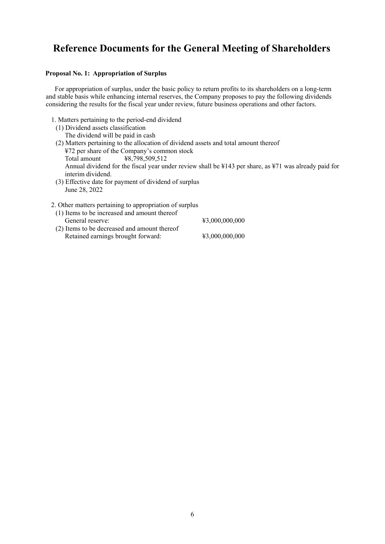# **Reference Documents for the General Meeting of Shareholders**

#### **Proposal No. 1: Appropriation of Surplus**

For appropriation of surplus, under the basic policy to return profits to its shareholders on a long-term and stable basis while enhancing internal reserves, the Company proposes to pay the following dividends considering the results for the fiscal year under review, future business operations and other factors.

- 1. Matters pertaining to the period-end dividend
- (1) Dividend assets classification The dividend will be paid in cash (2) Matters pertaining to the allocation of dividend assets and total amount thereof ¥72 per share of the Company's common stock Total amount **¥8,798,509,512** Annual dividend for the fiscal year under review shall be ¥143 per share, as ¥71 was already paid for interim dividend.
- (3) Effective date for payment of dividend of surplus June 28, 2022

| 2. Other matters pertaining to appropriation of surplus |                |
|---------------------------------------------------------|----------------|
| (1) Items to be increased and amount thereof            |                |
| General reserve:                                        | ¥3,000,000,000 |
| (2) Items to be decreased and amount thereof            |                |
| Retained earnings brought forward:                      | ¥3,000,000,000 |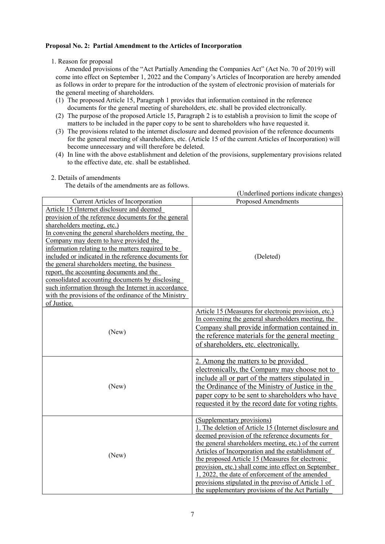# **Proposal No. 2: Partial Amendment to the Articles of Incorporation**

# 1. Reason for proposal

Amended provisions of the "Act Partially Amending the Companies Act" (Act No. 70 of 2019) will come into effect on September 1, 2022 and the Company's Articles of Incorporation are hereby amended as follows in order to prepare for the introduction of the system of electronic provision of materials for the general meeting of shareholders.

- (1) The proposed Article 15, Paragraph 1 provides that information contained in the reference documents for the general meeting of shareholders, etc. shall be provided electronically.
- (2) The purpose of the proposed Article 15, Paragraph 2 is to establish a provision to limit the scope of matters to be included in the paper copy to be sent to shareholders who have requested it.
- (3) The provisions related to the internet disclosure and deemed provision of the reference documents for the general meeting of shareholders, etc. (Article 15 of the current Articles of Incorporation) will become unnecessary and will therefore be deleted.
- (4) In line with the above establishment and deletion of the provisions, supplementary provisions related to the effective date, etc. shall be established.

# 2. Details of amendments

The details of the amendments are as follows.

|                                                                                                                                                                                                                                                                                                                                                                                                                                                                                                                                                                                                                               | (Underlined portions indicate changes)                                                                                                                                                                                                                                                                                                                                                                                                                                                                                              |
|-------------------------------------------------------------------------------------------------------------------------------------------------------------------------------------------------------------------------------------------------------------------------------------------------------------------------------------------------------------------------------------------------------------------------------------------------------------------------------------------------------------------------------------------------------------------------------------------------------------------------------|-------------------------------------------------------------------------------------------------------------------------------------------------------------------------------------------------------------------------------------------------------------------------------------------------------------------------------------------------------------------------------------------------------------------------------------------------------------------------------------------------------------------------------------|
| Current Articles of Incorporation                                                                                                                                                                                                                                                                                                                                                                                                                                                                                                                                                                                             | <b>Proposed Amendments</b>                                                                                                                                                                                                                                                                                                                                                                                                                                                                                                          |
| Article 15 (Internet disclosure and deemed<br>provision of the reference documents for the general<br>shareholders meeting, etc.)<br>In convening the general shareholders meeting, the<br>Company may deem to have provided the<br>information relating to the matters required to be<br>included or indicated in the reference documents for<br>the general shareholders meeting, the business<br>report, the accounting documents and the<br>consolidated accounting documents by disclosing<br>such information through the Internet in accordance<br>with the provisions of the ordinance of the Ministry<br>of Justice. | (Deleted)                                                                                                                                                                                                                                                                                                                                                                                                                                                                                                                           |
| (New)                                                                                                                                                                                                                                                                                                                                                                                                                                                                                                                                                                                                                         | Article 15 (Measures for electronic provision, etc.)<br>In convening the general shareholders meeting, the<br>Company shall provide information contained in<br>the reference materials for the general meeting<br>of shareholders, etc. electronically.                                                                                                                                                                                                                                                                            |
| (New)                                                                                                                                                                                                                                                                                                                                                                                                                                                                                                                                                                                                                         | 2. Among the matters to be provided<br>electronically, the Company may choose not to<br>include all or part of the matters stipulated in<br>the Ordinance of the Ministry of Justice in the<br>paper copy to be sent to shareholders who have<br>requested it by the record date for voting rights.                                                                                                                                                                                                                                 |
| (New)                                                                                                                                                                                                                                                                                                                                                                                                                                                                                                                                                                                                                         | (Supplementary provisions)<br>1. The deletion of Article 15 (Internet disclosure and<br>deemed provision of the reference documents for<br>the general shareholders meeting, etc.) of the current<br>Articles of Incorporation and the establishment of<br>the proposed Article 15 (Measures for electronic<br>provision, etc.) shall come into effect on September<br>1, 2022, the date of enforcement of the amended<br>provisions stipulated in the proviso of Article 1 of<br>the supplementary provisions of the Act Partially |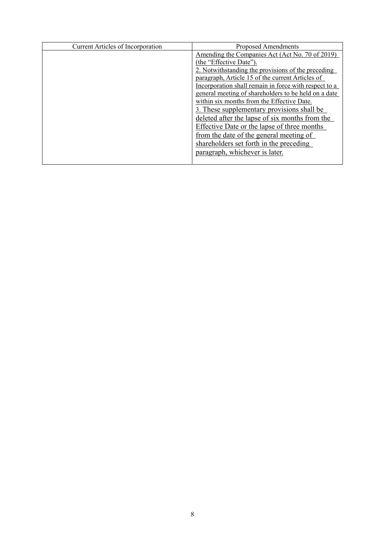| <b>Current Articles of Incorporation</b> | Proposed Amendments                                   |
|------------------------------------------|-------------------------------------------------------|
|                                          | Amending the Companies Act (Act No. 70 of 2019)       |
|                                          | (the "Effective Date").                               |
|                                          | 2. Notwithstanding the provisions of the preceding    |
|                                          | paragraph, Article 15 of the current Articles of      |
|                                          | Incorporation shall remain in force with respect to a |
|                                          | general meeting of shareholders to be held on a date  |
|                                          | within six months from the Effective Date.            |
|                                          | 3. These supplementary provisions shall be            |
|                                          | deleted after the lapse of six months from the        |
|                                          | Effective Date or the lapse of three months           |
|                                          | from the date of the general meeting of               |
|                                          | shareholders set forth in the preceding               |
|                                          | paragraph, whichever is later.                        |
|                                          |                                                       |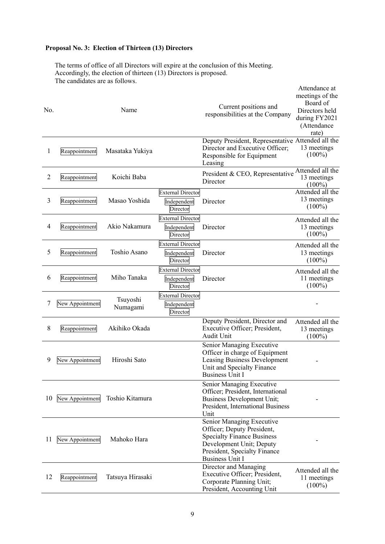# **Proposal No. 3: Election of Thirteen (13) Directors**

The terms of office of all Directors will expire at the conclusion of this Meeting. Accordingly, the election of thirteen (13) Directors is proposed. The candidates are as follows.

| No.            |                 | Name                 |                                                     | Current positions and<br>responsibilities at the Company                                                                                                                           | Attendance at<br>meetings of the<br>Board of<br>Directors held<br>during FY2021<br>(Attendance<br>rate) |
|----------------|-----------------|----------------------|-----------------------------------------------------|------------------------------------------------------------------------------------------------------------------------------------------------------------------------------------|---------------------------------------------------------------------------------------------------------|
| $\mathbf{1}$   | Reappointment   | Masataka Yukiya      |                                                     | Deputy President, Representative Attended all the<br>Director and Executive Officer;<br>Responsible for Equipment<br>Leasing                                                       | 13 meetings<br>$(100\%)$                                                                                |
| $\overline{2}$ | Reappointment   | Koichi Baba          |                                                     | President & CEO, Representative<br>Director                                                                                                                                        | Attended all the<br>13 meetings<br>$(100\%)$                                                            |
| 3              | Reappointment   | Masao Yoshida        | <b>External Director</b><br>Independent<br>Director | Director                                                                                                                                                                           | Attended all the<br>13 meetings<br>$(100\%)$                                                            |
| 4              | Reappointment   | Akio Nakamura        | <b>External Director</b><br>Independent<br>Director | Director                                                                                                                                                                           | Attended all the<br>13 meetings<br>$(100\%)$                                                            |
| 5              | Reappointment   | Toshio Asano         | <b>External Director</b><br>Independent<br>Director | Director                                                                                                                                                                           | Attended all the<br>13 meetings<br>$(100\%)$                                                            |
| 6              | Reappointment   | Miho Tanaka          | <b>External Director</b><br>Independent<br>Director | Director                                                                                                                                                                           | Attended all the<br>11 meetings<br>$(100\%)$                                                            |
| 7              | New Appointment | Tsuyoshi<br>Numagami | <b>External Director</b><br>Independent<br>Director |                                                                                                                                                                                    |                                                                                                         |
| 8              | Reappointment   | Akihiko Okada        |                                                     | Deputy President, Director and<br>Executive Officer; President,<br>Audit Unit                                                                                                      | Attended all the<br>13 meetings<br>$(100\%)$                                                            |
| 9              | New Appointment | Hiroshi Sato         |                                                     | Senior Managing Executive<br>Officer in charge of Equipment<br>Leasing Business Development<br>Unit and Specialty Finance<br>Business Unit I                                       |                                                                                                         |
| 10             | New Appointment | Toshio Kitamura      |                                                     | Senior Managing Executive<br>Officer; President, International<br><b>Business Development Unit;</b><br>President, International Business<br>Unit                                   |                                                                                                         |
| 11             | New Appointment | Mahoko Hara          |                                                     | Senior Managing Executive<br>Officer; Deputy President,<br><b>Specialty Finance Business</b><br>Development Unit; Deputy<br>President, Specialty Finance<br><b>Business Unit I</b> |                                                                                                         |
| 12             | Reappointment   | Tatsuya Hirasaki     |                                                     | Director and Managing<br>Executive Officer; President,<br>Corporate Planning Unit;<br>President, Accounting Unit                                                                   | Attended all the<br>11 meetings<br>$(100\%)$                                                            |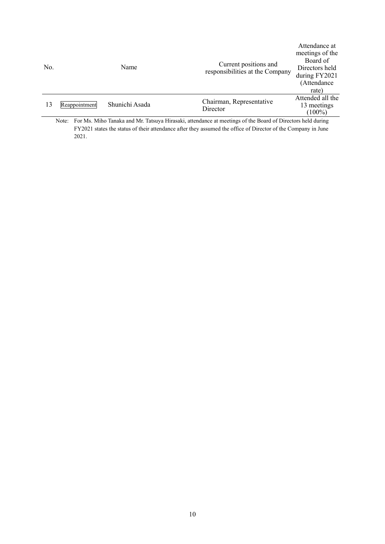| No. |                                  | Name                    | Current positions and<br>responsibilities at the Company                                                                                                                 | Attendance at<br>meetings of the<br>Board of<br>Directors held<br>during FY2021<br>(Attendance<br>rate)                                                                                                                                                                                                                            |
|-----|----------------------------------|-------------------------|--------------------------------------------------------------------------------------------------------------------------------------------------------------------------|------------------------------------------------------------------------------------------------------------------------------------------------------------------------------------------------------------------------------------------------------------------------------------------------------------------------------------|
| 13  | Reappointment                    | Shunichi Asada          | Chairman, Representative<br>Director                                                                                                                                     | Attended all the<br>13 meetings<br>$(100\%)$                                                                                                                                                                                                                                                                                       |
|     | <b>PARTICIPS</b><br>$\mathbf{v}$ | 1.3.5.7<br>$\mathbf{r}$ | $-1$ $-1$ $-1$ $-1$<br>0.1 <sub>m</sub><br><b>TT:</b><br>the contract of the contract of the contract of the contract of the contract of the contract of the contract of | $\mathbf{1}$ $\mathbf{2}$ $\mathbf{3}$ $\mathbf{4}$ $\mathbf{1}$ $\mathbf{1}$ $\mathbf{1}$ $\mathbf{1}$ $\mathbf{1}$ $\mathbf{1}$ $\mathbf{1}$ $\mathbf{1}$ $\mathbf{1}$ $\mathbf{1}$ $\mathbf{1}$ $\mathbf{1}$ $\mathbf{1}$ $\mathbf{1}$ $\mathbf{1}$ $\mathbf{1}$ $\mathbf{1}$ $\mathbf{1}$ $\mathbf{1}$ $\mathbf{1}$ $\mathbf{$ |

Note: For Ms. Miho Tanaka and Mr. Tatsuya Hirasaki, attendance at meetings of the Board of Directors held during FY2021 states the status of their attendance after they assumed the office of Director of the Company in June 2021.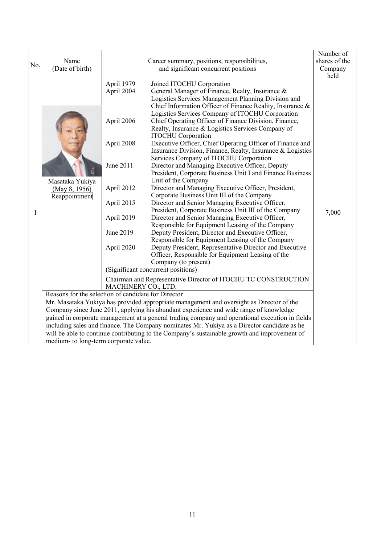| No. | Name<br>(Date of birth)                                                                                  |                                                                                                                                                               | Career summary, positions, responsibilities,<br>and significant concurrent positions                                                                                                                                                                                                                                                                                                                                                                                                                                                                                                                                                                                                                                                                                                                                                                                                                                                                                                                                                                                                                                                                                                                                                                                                                                                                                                                                                                                                     | Number of<br>shares of the<br>Company<br>held |
|-----|----------------------------------------------------------------------------------------------------------|---------------------------------------------------------------------------------------------------------------------------------------------------------------|------------------------------------------------------------------------------------------------------------------------------------------------------------------------------------------------------------------------------------------------------------------------------------------------------------------------------------------------------------------------------------------------------------------------------------------------------------------------------------------------------------------------------------------------------------------------------------------------------------------------------------------------------------------------------------------------------------------------------------------------------------------------------------------------------------------------------------------------------------------------------------------------------------------------------------------------------------------------------------------------------------------------------------------------------------------------------------------------------------------------------------------------------------------------------------------------------------------------------------------------------------------------------------------------------------------------------------------------------------------------------------------------------------------------------------------------------------------------------------------|-----------------------------------------------|
| 1   | Masataka Yukiya<br>(May 8, 1956)<br>Reappointment<br>Reasons for the selection of candidate for Director | April 1979<br>April 2004<br>April 2006<br>April 2008<br>June 2011<br>April 2012<br>April 2015<br>April 2019<br>June 2019<br>April 2020<br>MACHINERY CO., LTD. | Joined ITOCHU Corporation<br>General Manager of Finance, Realty, Insurance &<br>Logistics Services Management Planning Division and<br>Chief Information Officer of Finance Reality, Insurance &<br>Logistics Services Company of ITOCHU Corporation<br>Chief Operating Officer of Finance Division, Finance,<br>Realty, Insurance & Logistics Services Company of<br><b>ITOCHU</b> Corporation<br>Executive Officer, Chief Operating Officer of Finance and<br>Insurance Division, Finance, Realty, Insurance & Logistics<br>Services Company of ITOCHU Corporation<br>Director and Managing Executive Officer, Deputy<br>President, Corporate Business Unit I and Finance Business<br>Unit of the Company<br>Director and Managing Executive Officer, President,<br>Corporate Business Unit III of the Company<br>Director and Senior Managing Executive Officer,<br>President, Corporate Business Unit III of the Company<br>Director and Senior Managing Executive Officer,<br>Responsible for Equipment Leasing of the Company<br>Deputy President, Director and Executive Officer,<br>Responsible for Equipment Leasing of the Company<br>Deputy President, Representative Director and Executive<br>Officer, Responsible for Equipment Leasing of the<br>Company (to present)<br>(Significant concurrent positions)<br>Chairman and Representative Director of ITOCHU TC CONSTRUCTION<br>Mr. Masataka Yukiya has provided appropriate management and oversight as Director of the | 7,000                                         |
|     |                                                                                                          |                                                                                                                                                               | Company since June 2011, applying his abundant experience and wide range of knowledge                                                                                                                                                                                                                                                                                                                                                                                                                                                                                                                                                                                                                                                                                                                                                                                                                                                                                                                                                                                                                                                                                                                                                                                                                                                                                                                                                                                                    |                                               |
|     |                                                                                                          |                                                                                                                                                               | gained in corporate management at a general trading company and operational execution in fields                                                                                                                                                                                                                                                                                                                                                                                                                                                                                                                                                                                                                                                                                                                                                                                                                                                                                                                                                                                                                                                                                                                                                                                                                                                                                                                                                                                          |                                               |
|     |                                                                                                          |                                                                                                                                                               | including sales and finance. The Company nominates Mr. Yukiya as a Director candidate as he                                                                                                                                                                                                                                                                                                                                                                                                                                                                                                                                                                                                                                                                                                                                                                                                                                                                                                                                                                                                                                                                                                                                                                                                                                                                                                                                                                                              |                                               |
|     |                                                                                                          |                                                                                                                                                               | will be able to continue contributing to the Company's sustainable growth and improvement of                                                                                                                                                                                                                                                                                                                                                                                                                                                                                                                                                                                                                                                                                                                                                                                                                                                                                                                                                                                                                                                                                                                                                                                                                                                                                                                                                                                             |                                               |
|     | medium- to long-term corporate value.                                                                    |                                                                                                                                                               |                                                                                                                                                                                                                                                                                                                                                                                                                                                                                                                                                                                                                                                                                                                                                                                                                                                                                                                                                                                                                                                                                                                                                                                                                                                                                                                                                                                                                                                                                          |                                               |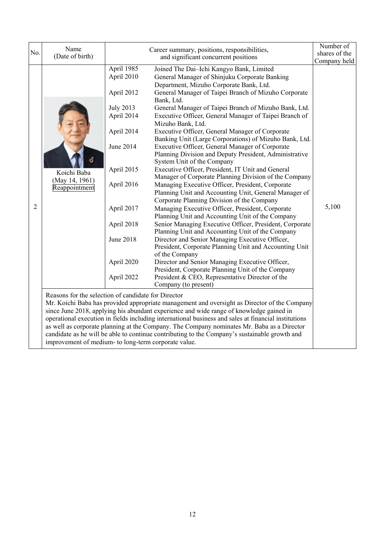| Number of<br>Name<br>Career summary, positions, responsibilities,<br>No.<br>shares of the<br>(Date of birth)<br>and significant concurrent positions<br>Company held<br>April 1985<br>Joined The Dai-Ichi Kangyo Bank, Limited<br>April 2010<br>General Manager of Shinjuku Corporate Banking<br>Department, Mizuho Corporate Bank, Ltd.<br>April 2012<br>General Manager of Taipei Branch of Mizuho Corporate |  |
|----------------------------------------------------------------------------------------------------------------------------------------------------------------------------------------------------------------------------------------------------------------------------------------------------------------------------------------------------------------------------------------------------------------|--|
|                                                                                                                                                                                                                                                                                                                                                                                                                |  |
|                                                                                                                                                                                                                                                                                                                                                                                                                |  |
|                                                                                                                                                                                                                                                                                                                                                                                                                |  |
|                                                                                                                                                                                                                                                                                                                                                                                                                |  |
|                                                                                                                                                                                                                                                                                                                                                                                                                |  |
|                                                                                                                                                                                                                                                                                                                                                                                                                |  |
| Bank, Ltd.                                                                                                                                                                                                                                                                                                                                                                                                     |  |
| <b>July 2013</b><br>General Manager of Taipei Branch of Mizuho Bank, Ltd.                                                                                                                                                                                                                                                                                                                                      |  |
| April 2014<br>Executive Officer, General Manager of Taipei Branch of                                                                                                                                                                                                                                                                                                                                           |  |
| Mizuho Bank, Ltd.                                                                                                                                                                                                                                                                                                                                                                                              |  |
| April 2014<br>Executive Officer, General Manager of Corporate                                                                                                                                                                                                                                                                                                                                                  |  |
| Banking Unit (Large Corporations) of Mizuho Bank, Ltd.                                                                                                                                                                                                                                                                                                                                                         |  |
| June 2014<br>Executive Officer, General Manager of Corporate                                                                                                                                                                                                                                                                                                                                                   |  |
| Planning Division and Deputy President, Administrative                                                                                                                                                                                                                                                                                                                                                         |  |
| System Unit of the Company                                                                                                                                                                                                                                                                                                                                                                                     |  |
| April 2015<br>Executive Officer, President, IT Unit and General<br>Koichi Baba                                                                                                                                                                                                                                                                                                                                 |  |
| Manager of Corporate Planning Division of the Company<br>(May 14, 1961)                                                                                                                                                                                                                                                                                                                                        |  |
| April 2016<br>Managing Executive Officer, President, Corporate<br>Reappointment                                                                                                                                                                                                                                                                                                                                |  |
| Planning Unit and Accounting Unit, General Manager of                                                                                                                                                                                                                                                                                                                                                          |  |
| Corporate Planning Division of the Company                                                                                                                                                                                                                                                                                                                                                                     |  |
| 2<br>5,100<br>April 2017<br>Managing Executive Officer, President, Corporate                                                                                                                                                                                                                                                                                                                                   |  |
| Planning Unit and Accounting Unit of the Company                                                                                                                                                                                                                                                                                                                                                               |  |
| Senior Managing Executive Officer, President, Corporate<br>April 2018                                                                                                                                                                                                                                                                                                                                          |  |
| Planning Unit and Accounting Unit of the Company                                                                                                                                                                                                                                                                                                                                                               |  |
| <b>June 2018</b><br>Director and Senior Managing Executive Officer,                                                                                                                                                                                                                                                                                                                                            |  |
| President, Corporate Planning Unit and Accounting Unit                                                                                                                                                                                                                                                                                                                                                         |  |
| of the Company                                                                                                                                                                                                                                                                                                                                                                                                 |  |
| April 2020<br>Director and Senior Managing Executive Officer,                                                                                                                                                                                                                                                                                                                                                  |  |
| President, Corporate Planning Unit of the Company                                                                                                                                                                                                                                                                                                                                                              |  |
| President & CEO, Representative Director of the<br>April 2022                                                                                                                                                                                                                                                                                                                                                  |  |
| Company (to present)                                                                                                                                                                                                                                                                                                                                                                                           |  |
| Reasons for the selection of candidate for Director                                                                                                                                                                                                                                                                                                                                                            |  |
| Mr. Koichi Baba has provided appropriate management and oversight as Director of the Company                                                                                                                                                                                                                                                                                                                   |  |
| since June 2018, applying his abundant experience and wide range of knowledge gained in                                                                                                                                                                                                                                                                                                                        |  |
| operational execution in fields including international business and sales at financial institutions                                                                                                                                                                                                                                                                                                           |  |
| as well as corporate planning at the Company. The Company nominates Mr. Baba as a Director                                                                                                                                                                                                                                                                                                                     |  |
| candidate as he will be able to continue contributing to the Company's sustainable growth and                                                                                                                                                                                                                                                                                                                  |  |
| improvement of medium- to long-term corporate value.                                                                                                                                                                                                                                                                                                                                                           |  |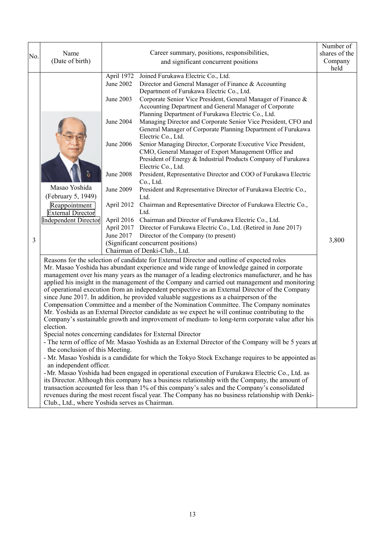|     |                                                                                                                                                                                                  |                                                                                                                                              | Number of     |  |  |  |
|-----|--------------------------------------------------------------------------------------------------------------------------------------------------------------------------------------------------|----------------------------------------------------------------------------------------------------------------------------------------------|---------------|--|--|--|
| No. | Name                                                                                                                                                                                             | Career summary, positions, responsibilities,                                                                                                 | shares of the |  |  |  |
|     | (Date of birth)                                                                                                                                                                                  | and significant concurrent positions                                                                                                         | Company       |  |  |  |
|     |                                                                                                                                                                                                  | April 1972 Joined Furukawa Electric Co., Ltd.                                                                                                | held          |  |  |  |
|     |                                                                                                                                                                                                  | June 2002<br>Director and General Manager of Finance & Accounting                                                                            |               |  |  |  |
|     |                                                                                                                                                                                                  | Department of Furukawa Electric Co., Ltd.                                                                                                    |               |  |  |  |
|     |                                                                                                                                                                                                  | Corporate Senior Vice President, General Manager of Finance &<br>June 2003                                                                   |               |  |  |  |
|     |                                                                                                                                                                                                  | Accounting Department and General Manager of Corporate                                                                                       |               |  |  |  |
|     |                                                                                                                                                                                                  | Planning Department of Furukawa Electric Co., Ltd.                                                                                           |               |  |  |  |
|     |                                                                                                                                                                                                  | June 2004<br>Managing Director and Corporate Senior Vice President, CFO and                                                                  |               |  |  |  |
|     |                                                                                                                                                                                                  | General Manager of Corporate Planning Department of Furukawa                                                                                 |               |  |  |  |
|     |                                                                                                                                                                                                  | Electric Co., Ltd.<br>June 2006                                                                                                              |               |  |  |  |
|     |                                                                                                                                                                                                  | Senior Managing Director, Corporate Executive Vice President,<br>CMO, General Manager of Export Management Office and                        |               |  |  |  |
|     |                                                                                                                                                                                                  | President of Energy & Industrial Products Company of Furukawa                                                                                |               |  |  |  |
|     |                                                                                                                                                                                                  | Electric Co., Ltd.                                                                                                                           |               |  |  |  |
|     |                                                                                                                                                                                                  | <b>June 2008</b><br>President, Representative Director and COO of Furukawa Electric                                                          |               |  |  |  |
|     |                                                                                                                                                                                                  | Co., Ltd.                                                                                                                                    |               |  |  |  |
|     | Masao Yoshida                                                                                                                                                                                    | June 2009<br>President and Representative Director of Furukawa Electric Co.,                                                                 |               |  |  |  |
|     | (February 5, 1949)                                                                                                                                                                               | Ltd.                                                                                                                                         |               |  |  |  |
|     | Reappointment                                                                                                                                                                                    | April 2012 Chairman and Representative Director of Furukawa Electric Co.,                                                                    |               |  |  |  |
|     | <b>External Director</b>                                                                                                                                                                         | Ltd.                                                                                                                                         |               |  |  |  |
|     | <b>Independent Director</b>                                                                                                                                                                      | April 2016 Chairman and Director of Furukawa Electric Co., Ltd.<br>April 2017 Director of Furukawa Electric Co., Ltd. (Retired in June 2017) |               |  |  |  |
|     |                                                                                                                                                                                                  | June 2017<br>Director of the Company (to present)                                                                                            |               |  |  |  |
| 3   |                                                                                                                                                                                                  | (Significant concurrent positions)                                                                                                           | 3,800         |  |  |  |
|     |                                                                                                                                                                                                  | Chairman of Denki-Club., Ltd.                                                                                                                |               |  |  |  |
|     | Reasons for the selection of candidate for External Director and outline of expected roles                                                                                                       |                                                                                                                                              |               |  |  |  |
|     | Mr. Masao Yoshida has abundant experience and wide range of knowledge gained in corporate                                                                                                        |                                                                                                                                              |               |  |  |  |
|     | management over his many years as the manager of a leading electronics manufacturer, and he has                                                                                                  |                                                                                                                                              |               |  |  |  |
|     |                                                                                                                                                                                                  | applied his insight in the management of the Company and carried out management and monitoring                                               |               |  |  |  |
|     | of operational execution from an independent perspective as an External Director of the Company                                                                                                  |                                                                                                                                              |               |  |  |  |
|     | since June 2017. In addition, he provided valuable suggestions as a chairperson of the<br>Compensation Committee and a member of the Nomination Committee. The Company nominates                 |                                                                                                                                              |               |  |  |  |
|     | Mr. Yoshida as an External Director candidate as we expect he will continue contributing to the                                                                                                  |                                                                                                                                              |               |  |  |  |
|     | Company's sustainable growth and improvement of medium- to long-term corporate value after his                                                                                                   |                                                                                                                                              |               |  |  |  |
|     | election.                                                                                                                                                                                        |                                                                                                                                              |               |  |  |  |
|     | Special notes concerning candidates for External Director                                                                                                                                        |                                                                                                                                              |               |  |  |  |
|     | - The term of office of Mr. Masao Yoshida as an External Director of the Company will be 5 years at                                                                                              |                                                                                                                                              |               |  |  |  |
|     | the conclusion of this Meeting.                                                                                                                                                                  |                                                                                                                                              |               |  |  |  |
|     |                                                                                                                                                                                                  | - Mr. Masao Yoshida is a candidate for which the Tokyo Stock Exchange requires to be appointed as                                            |               |  |  |  |
|     | an independent officer.                                                                                                                                                                          |                                                                                                                                              |               |  |  |  |
|     |                                                                                                                                                                                                  | -Mr. Masao Yoshida had been engaged in operational execution of Furukawa Electric Co., Ltd. as                                               |               |  |  |  |
|     | its Director. Although this company has a business relationship with the Company, the amount of<br>transaction accounted for less than 1% of this company's sales and the Company's consolidated |                                                                                                                                              |               |  |  |  |
|     | revenues during the most recent fiscal year. The Company has no business relationship with Denki-                                                                                                |                                                                                                                                              |               |  |  |  |
|     |                                                                                                                                                                                                  | Club., Ltd., where Yoshida serves as Chairman.                                                                                               |               |  |  |  |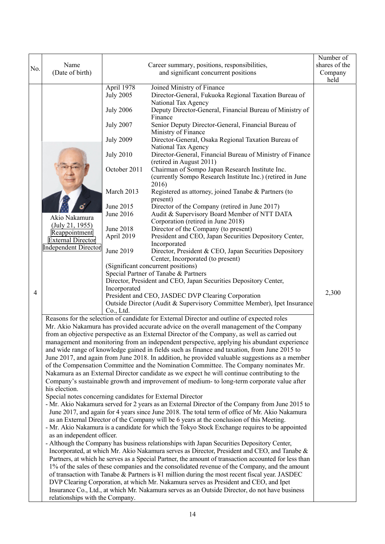|     | Name                                                                                                                                                                                                                                                                                      |                                | Career summary, positions, responsibilities,                                                                                                                                          | Number of<br>shares of the |  |  |
|-----|-------------------------------------------------------------------------------------------------------------------------------------------------------------------------------------------------------------------------------------------------------------------------------------------|--------------------------------|---------------------------------------------------------------------------------------------------------------------------------------------------------------------------------------|----------------------------|--|--|
| No. | (Date of birth)                                                                                                                                                                                                                                                                           |                                | and significant concurrent positions                                                                                                                                                  | Company                    |  |  |
|     |                                                                                                                                                                                                                                                                                           |                                |                                                                                                                                                                                       | held                       |  |  |
|     |                                                                                                                                                                                                                                                                                           | April 1978<br><b>July 2005</b> | Joined Ministry of Finance<br>Director-General, Fukuoka Regional Taxation Bureau of                                                                                                   |                            |  |  |
|     |                                                                                                                                                                                                                                                                                           |                                | National Tax Agency                                                                                                                                                                   |                            |  |  |
|     |                                                                                                                                                                                                                                                                                           | <b>July 2006</b>               | Deputy Director-General, Financial Bureau of Ministry of<br>Finance                                                                                                                   |                            |  |  |
|     |                                                                                                                                                                                                                                                                                           | <b>July 2007</b>               | Senior Deputy Director-General, Financial Bureau of                                                                                                                                   |                            |  |  |
|     |                                                                                                                                                                                                                                                                                           |                                | Ministry of Finance                                                                                                                                                                   |                            |  |  |
|     |                                                                                                                                                                                                                                                                                           | <b>July 2009</b>               | Director-General, Osaka Regional Taxation Bureau of                                                                                                                                   |                            |  |  |
|     |                                                                                                                                                                                                                                                                                           | <b>July 2010</b>               | National Tax Agency<br>Director-General, Financial Bureau of Ministry of Finance                                                                                                      |                            |  |  |
|     |                                                                                                                                                                                                                                                                                           |                                | (retired in August 2011)                                                                                                                                                              |                            |  |  |
|     |                                                                                                                                                                                                                                                                                           | October 2011                   | Chairman of Sompo Japan Research Institute Inc.                                                                                                                                       |                            |  |  |
|     |                                                                                                                                                                                                                                                                                           |                                | (currently Sompo Research Institute Inc.) (retired in June<br>2016)                                                                                                                   |                            |  |  |
|     |                                                                                                                                                                                                                                                                                           | March 2013                     | Registered as attorney, joined Tanabe & Partners (to                                                                                                                                  |                            |  |  |
|     |                                                                                                                                                                                                                                                                                           |                                | present)                                                                                                                                                                              |                            |  |  |
|     |                                                                                                                                                                                                                                                                                           | June 2015<br>June 2016         | Director of the Company (retired in June 2017)<br>Audit & Supervisory Board Member of NTT DATA                                                                                        |                            |  |  |
|     | Akio Nakamura<br>(July 21, 1955)                                                                                                                                                                                                                                                          |                                | Corporation (retired in June 2018)                                                                                                                                                    |                            |  |  |
|     | Reappointment                                                                                                                                                                                                                                                                             | June 2018                      | Director of the Company (to present)                                                                                                                                                  |                            |  |  |
|     | <b>External Director</b>                                                                                                                                                                                                                                                                  | April 2019                     | President and CEO, Japan Securities Depository Center,<br>Incorporated                                                                                                                |                            |  |  |
|     | <b>Independent Director</b>                                                                                                                                                                                                                                                               | June 2019                      | Director, President & CEO, Japan Securities Depository                                                                                                                                |                            |  |  |
|     |                                                                                                                                                                                                                                                                                           |                                | Center, Incorporated (to present)                                                                                                                                                     |                            |  |  |
|     |                                                                                                                                                                                                                                                                                           |                                | (Significant concurrent positions)<br>Special Partner of Tanabe & Partners                                                                                                            |                            |  |  |
|     |                                                                                                                                                                                                                                                                                           |                                | Director, President and CEO, Japan Securities Depository Center,                                                                                                                      |                            |  |  |
| 4   |                                                                                                                                                                                                                                                                                           | Incorporated                   |                                                                                                                                                                                       | 2,300                      |  |  |
|     |                                                                                                                                                                                                                                                                                           |                                | President and CEO, JASDEC DVP Clearing Corporation<br>Outside Director (Audit & Supervisory Committee Member), Ipet Insurance                                                         |                            |  |  |
|     |                                                                                                                                                                                                                                                                                           | Co., Ltd.                      |                                                                                                                                                                                       |                            |  |  |
|     | Reasons for the selection of candidate for External Director and outline of expected roles                                                                                                                                                                                                |                                |                                                                                                                                                                                       |                            |  |  |
|     | Mr. Akio Nakamura has provided accurate advice on the overall management of the Company<br>from an objective perspective as an External Director of the Company, as well as carried out                                                                                                   |                                |                                                                                                                                                                                       |                            |  |  |
|     | management and monitoring from an independent perspective, applying his abundant experience                                                                                                                                                                                               |                                |                                                                                                                                                                                       |                            |  |  |
|     |                                                                                                                                                                                                                                                                                           |                                | and wide range of knowledge gained in fields such as finance and taxation, from June 2015 to                                                                                          |                            |  |  |
|     |                                                                                                                                                                                                                                                                                           |                                | June 2017, and again from June 2018. In addition, he provided valuable suggestions as a member                                                                                        |                            |  |  |
|     |                                                                                                                                                                                                                                                                                           |                                | of the Compensation Committee and the Nomination Committee. The Company nominates Mr.<br>Nakamura as an External Director candidate as we expect he will continue contributing to the |                            |  |  |
|     |                                                                                                                                                                                                                                                                                           |                                | Company's sustainable growth and improvement of medium- to long-term corporate value after                                                                                            |                            |  |  |
|     | his election.                                                                                                                                                                                                                                                                             |                                |                                                                                                                                                                                       |                            |  |  |
|     | Special notes concerning candidates for External Director                                                                                                                                                                                                                                 |                                |                                                                                                                                                                                       |                            |  |  |
|     | - Mr. Akio Nakamura served for 2 years as an External Director of the Company from June 2015 to<br>June 2017, and again for 4 years since June 2018. The total term of office of Mr. Akio Nakamura                                                                                        |                                |                                                                                                                                                                                       |                            |  |  |
|     |                                                                                                                                                                                                                                                                                           |                                | as an External Director of the Company will be 6 years at the conclusion of this Meeting.                                                                                             |                            |  |  |
|     |                                                                                                                                                                                                                                                                                           |                                | - Mr. Akio Nakamura is a candidate for which the Tokyo Stock Exchange requires to be appointed                                                                                        |                            |  |  |
|     | as an independent officer.                                                                                                                                                                                                                                                                |                                | - Although the Company has business relationships with Japan Securities Depository Center,                                                                                            |                            |  |  |
|     |                                                                                                                                                                                                                                                                                           |                                | Incorporated, at which Mr. Akio Nakamura serves as Director, President and CEO, and Tanabe &                                                                                          |                            |  |  |
|     |                                                                                                                                                                                                                                                                                           |                                | Partners, at which he serves as a Special Partner, the amount of transaction accounted for less than                                                                                  |                            |  |  |
|     |                                                                                                                                                                                                                                                                                           |                                | 1% of the sales of these companies and the consolidated revenue of the Company, and the amount                                                                                        |                            |  |  |
|     | of transaction with Tanabe & Partners is ¥1 million during the most recent fiscal year. JASDEC<br>DVP Clearing Corporation, at which Mr. Nakamura serves as President and CEO, and Ipet<br>Insurance Co., Ltd., at which Mr. Nakamura serves as an Outside Director, do not have business |                                |                                                                                                                                                                                       |                            |  |  |
|     |                                                                                                                                                                                                                                                                                           |                                |                                                                                                                                                                                       |                            |  |  |
|     | relationships with the Company.                                                                                                                                                                                                                                                           |                                |                                                                                                                                                                                       |                            |  |  |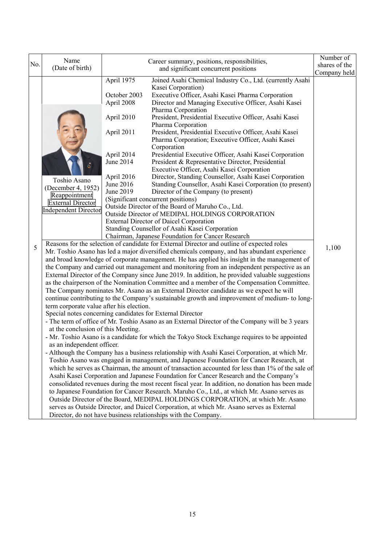| No. | Name<br>(Date of birth)                                                                                                                                                                                                        | Career summary, positions, responsibilities,<br>and significant concurrent positions                                                                                                                                                                                                                                                                                                                                                                                                                                                                                                                                                                                                                                                                                                                                                                                                                                                                                                                                                                                                                                                                                                                                                                                                                                                                                                                                                                                                                                                                                                                                                                                                                                                                                                                                                                                                                                                                                                                                                                                                                                                                                                                                                                                                                                                                                                                                                                                                                                                                                                                                                                                                                                                                                                                                                                                                                                                                                                                                                                  | Number of<br>shares of the |
|-----|--------------------------------------------------------------------------------------------------------------------------------------------------------------------------------------------------------------------------------|-------------------------------------------------------------------------------------------------------------------------------------------------------------------------------------------------------------------------------------------------------------------------------------------------------------------------------------------------------------------------------------------------------------------------------------------------------------------------------------------------------------------------------------------------------------------------------------------------------------------------------------------------------------------------------------------------------------------------------------------------------------------------------------------------------------------------------------------------------------------------------------------------------------------------------------------------------------------------------------------------------------------------------------------------------------------------------------------------------------------------------------------------------------------------------------------------------------------------------------------------------------------------------------------------------------------------------------------------------------------------------------------------------------------------------------------------------------------------------------------------------------------------------------------------------------------------------------------------------------------------------------------------------------------------------------------------------------------------------------------------------------------------------------------------------------------------------------------------------------------------------------------------------------------------------------------------------------------------------------------------------------------------------------------------------------------------------------------------------------------------------------------------------------------------------------------------------------------------------------------------------------------------------------------------------------------------------------------------------------------------------------------------------------------------------------------------------------------------------------------------------------------------------------------------------------------------------------------------------------------------------------------------------------------------------------------------------------------------------------------------------------------------------------------------------------------------------------------------------------------------------------------------------------------------------------------------------------------------------------------------------------------------------------------------------|----------------------------|
| 5   | Toshio Asano<br>(December 4, 1952)<br>Reappointment<br><b>External Director</b><br><b>Independent Director</b><br>term corporate value after his election.<br>at the conclusion of this Meeting.<br>as an independent officer. | April 1975<br>Joined Asahi Chemical Industry Co., Ltd. (currently Asahi<br>Kasei Corporation)<br>October 2003<br>Executive Officer, Asahi Kasei Pharma Corporation<br>April 2008<br>Director and Managing Executive Officer, Asahi Kasei<br>Pharma Corporation<br>April 2010<br>President, Presidential Executive Officer, Asahi Kasei<br>Pharma Corporation<br>April 2011<br>President, Presidential Executive Officer, Asahi Kasei<br>Pharma Corporation; Executive Officer, Asahi Kasei<br>Corporation<br>April 2014<br>Presidential Executive Officer, Asahi Kasei Corporation<br>June 2014<br>President & Representative Director, Presidential<br>Executive Officer, Asahi Kasei Corporation<br>April 2016<br>Director, Standing Counsellor, Asahi Kasei Corporation<br>June 2016<br>Standing Counsellor, Asahi Kasei Corporation (to present)<br>June 2019<br>Director of the Company (to present)<br>(Significant concurrent positions)<br>Outside Director of the Board of Maruho Co., Ltd.<br>Outside Director of MEDIPAL HOLDINGS CORPORATION<br><b>External Director of Daicel Corporation</b><br>Standing Counsellor of Asahi Kasei Corporation<br>Chairman, Japanese Foundation for Cancer Research<br>Reasons for the selection of candidate for External Director and outline of expected roles<br>Mr. Toshio Asano has led a major diversified chemicals company, and has abundant experience<br>and broad knowledge of corporate management. He has applied his insight in the management of<br>the Company and carried out management and monitoring from an independent perspective as an<br>External Director of the Company since June 2019. In addition, he provided valuable suggestions<br>as the chairperson of the Nomination Committee and a member of the Compensation Committee.<br>The Company nominates Mr. Asano as an External Director candidate as we expect he will<br>continue contributing to the Company's sustainable growth and improvement of medium- to long-<br>Special notes concerning candidates for External Director<br>- The term of office of Mr. Toshio Asano as an External Director of the Company will be 3 years<br>- Mr. Toshio Asano is a candidate for which the Tokyo Stock Exchange requires to be appointed<br>- Although the Company has a business relationship with Asahi Kasei Corporation, at which Mr.<br>Toshio Asano was engaged in management, and Japanese Foundation for Cancer Research, at<br>which he serves as Chairman, the amount of transaction accounted for less than 1% of the sale of<br>Asahi Kasei Corporation and Japanese Foundation for Cancer Research and the Company's<br>consolidated revenues during the most recent fiscal year. In addition, no donation has been made<br>to Japanese Foundation for Cancer Research. Maruho Co., Ltd., at which Mr. Asano serves as<br>Outside Director of the Board, MEDIPAL HOLDINGS CORPORATION, at which Mr. Asano<br>serves as Outside Director, and Daicel Corporation, at which Mr. Asano serves as External | Company held<br>1,100      |
|     |                                                                                                                                                                                                                                | Director, do not have business relationships with the Company.                                                                                                                                                                                                                                                                                                                                                                                                                                                                                                                                                                                                                                                                                                                                                                                                                                                                                                                                                                                                                                                                                                                                                                                                                                                                                                                                                                                                                                                                                                                                                                                                                                                                                                                                                                                                                                                                                                                                                                                                                                                                                                                                                                                                                                                                                                                                                                                                                                                                                                                                                                                                                                                                                                                                                                                                                                                                                                                                                                                        |                            |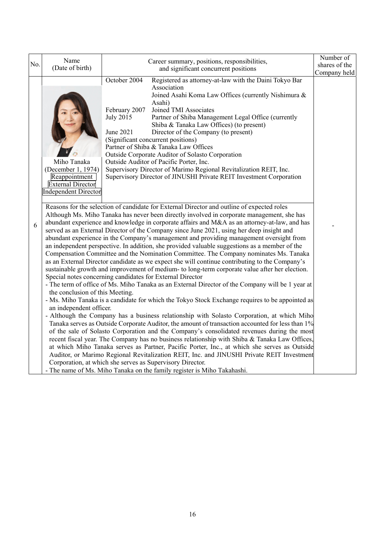| No. | Name<br>(Date of birth)                                                                                       | Career summary, positions, responsibilities,                                                                                                                                                                                                                                                                                                                                                                                                                                                                                                                                                                                                                                                                                                                                                                                                                                                                                                                                                                                                                                                                                                                                                                                                                                                                                                                                                                                                                                                                                                                                                                                                                                                                                                                                                                                                                                              | Number of<br>shares of the |
|-----|---------------------------------------------------------------------------------------------------------------|-------------------------------------------------------------------------------------------------------------------------------------------------------------------------------------------------------------------------------------------------------------------------------------------------------------------------------------------------------------------------------------------------------------------------------------------------------------------------------------------------------------------------------------------------------------------------------------------------------------------------------------------------------------------------------------------------------------------------------------------------------------------------------------------------------------------------------------------------------------------------------------------------------------------------------------------------------------------------------------------------------------------------------------------------------------------------------------------------------------------------------------------------------------------------------------------------------------------------------------------------------------------------------------------------------------------------------------------------------------------------------------------------------------------------------------------------------------------------------------------------------------------------------------------------------------------------------------------------------------------------------------------------------------------------------------------------------------------------------------------------------------------------------------------------------------------------------------------------------------------------------------------|----------------------------|
|     |                                                                                                               | and significant concurrent positions                                                                                                                                                                                                                                                                                                                                                                                                                                                                                                                                                                                                                                                                                                                                                                                                                                                                                                                                                                                                                                                                                                                                                                                                                                                                                                                                                                                                                                                                                                                                                                                                                                                                                                                                                                                                                                                      | Company held               |
|     | Miho Tanaka<br>(December 1, 1974)<br>Reappointment<br><b>External Director</b><br><b>Independent Director</b> | October 2004<br>Registered as attorney-at-law with the Daini Tokyo Bar<br>Association<br>Joined Asahi Koma Law Offices (currently Nishimura &<br>Asahi)<br>February 2007<br>Joined TMI Associates<br><b>July 2015</b><br>Partner of Shiba Management Legal Office (currently<br>Shiba & Tanaka Law Offices) (to present)<br>June 2021<br>Director of the Company (to present)<br>(Significant concurrent positions)<br>Partner of Shiba & Tanaka Law Offices<br>Outside Corporate Auditor of Solasto Corporation<br>Outside Auditor of Pacific Porter, Inc.<br>Supervisory Director of Marimo Regional Revitalization REIT, Inc.<br>Supervisory Director of JINUSHI Private REIT Investment Corporation                                                                                                                                                                                                                                                                                                                                                                                                                                                                                                                                                                                                                                                                                                                                                                                                                                                                                                                                                                                                                                                                                                                                                                                   |                            |
| 6   | the conclusion of this Meeting.<br>an independent officer.                                                    | Reasons for the selection of candidate for External Director and outline of expected roles<br>Although Ms. Miho Tanaka has never been directly involved in corporate management, she has<br>abundant experience and knowledge in corporate affairs and M&A as an attorney-at-law, and has<br>served as an External Director of the Company since June 2021, using her deep insight and<br>abundant experience in the Company's management and providing management oversight from<br>an independent perspective. In addition, she provided valuable suggestions as a member of the<br>Compensation Committee and the Nomination Committee. The Company nominates Ms. Tanaka<br>as an External Director candidate as we expect she will continue contributing to the Company's<br>sustainable growth and improvement of medium- to long-term corporate value after her election.<br>Special notes concerning candidates for External Director<br>- The term of office of Ms. Miho Tanaka as an External Director of the Company will be 1 year at<br>- Ms. Miho Tanaka is a candidate for which the Tokyo Stock Exchange requires to be appointed as<br>- Although the Company has a business relationship with Solasto Corporation, at which Miho<br>Tanaka serves as Outside Corporate Auditor, the amount of transaction accounted for less than 1%<br>of the sale of Solasto Corporation and the Company's consolidated revenues during the most<br>recent fiscal year. The Company has no business relationship with Shiba & Tanaka Law Offices,<br>at which Miho Tanaka serves as Partner, Pacific Porter, Inc., at which she serves as Outside<br>Auditor, or Marimo Regional Revitalization REIT, Inc. and JINUSHI Private REIT Investment<br>Corporation, at which she serves as Supervisory Director.<br>- The name of Ms. Miho Tanaka on the family register is Miho Takahashi. |                            |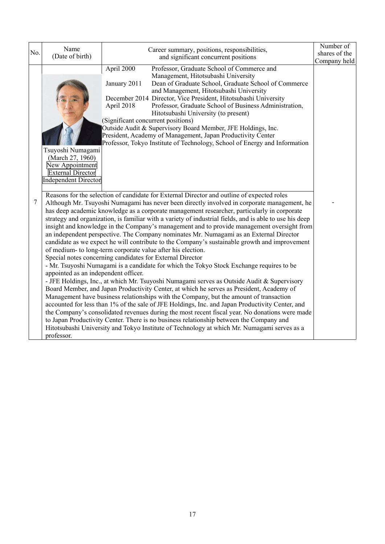| No.    | Name<br>(Date of birth)                                                                                      | Career summary, positions, responsibilities,<br>and significant concurrent positions                                                                                                                                                                                                                                                                                                                                                                                                                                                                                                                                                                                                                                                                                                                                                                                                                                                                                                                                                                                                                                                                                                                                                                                                                                                                                                                                                                                                                                                                                                                    | Number of<br>shares of the |
|--------|--------------------------------------------------------------------------------------------------------------|---------------------------------------------------------------------------------------------------------------------------------------------------------------------------------------------------------------------------------------------------------------------------------------------------------------------------------------------------------------------------------------------------------------------------------------------------------------------------------------------------------------------------------------------------------------------------------------------------------------------------------------------------------------------------------------------------------------------------------------------------------------------------------------------------------------------------------------------------------------------------------------------------------------------------------------------------------------------------------------------------------------------------------------------------------------------------------------------------------------------------------------------------------------------------------------------------------------------------------------------------------------------------------------------------------------------------------------------------------------------------------------------------------------------------------------------------------------------------------------------------------------------------------------------------------------------------------------------------------|----------------------------|
|        | Tsuyoshi Numagami<br>(March 27, 1960)<br>New Appointment<br><b>External Director</b><br>Independent Director | April 2000<br>Professor, Graduate School of Commerce and<br>Management, Hitotsubashi University<br>Dean of Graduate School, Graduate School of Commerce<br>January 2011<br>and Management, Hitotsubashi University<br>December 2014 Director, Vice President, Hitotsubashi University<br>Professor, Graduate School of Business Administration,<br>April 2018<br>Hitotsubashi University (to present)<br>(Significant concurrent positions)<br>Outside Audit & Supervisory Board Member, JFE Holdings, Inc.<br>President, Academy of Management, Japan Productivity Center<br>Professor, Tokyo Institute of Technology, School of Energy and Information                                                                                                                                                                                                                                                                                                                                                                                                                                                                                                                                                                                                                                                                                                                                                                                                                                                                                                                                                | Company held               |
| $\tau$ | appointed as an independent officer.<br>professor.                                                           | Reasons for the selection of candidate for External Director and outline of expected roles<br>Although Mr. Tsuyoshi Numagami has never been directly involved in corporate management, he<br>has deep academic knowledge as a corporate management researcher, particularly in corporate<br>strategy and organization, is familiar with a variety of industrial fields, and is able to use his deep<br>insight and knowledge in the Company's management and to provide management oversight from<br>an independent perspective. The Company nominates Mr. Numagami as an External Director<br>candidate as we expect he will contribute to the Company's sustainable growth and improvement<br>of medium- to long-term corporate value after his election.<br>Special notes concerning candidates for External Director<br>- Mr. Tsuyoshi Numagami is a candidate for which the Tokyo Stock Exchange requires to be<br>- JFE Holdings, Inc., at which Mr. Tsuyoshi Numagami serves as Outside Audit & Supervisory<br>Board Member, and Japan Productivity Center, at which he serves as President, Academy of<br>Management have business relationships with the Company, but the amount of transaction<br>accounted for less than 1% of the sale of JFE Holdings, Inc. and Japan Productivity Center, and<br>the Company's consolidated revenues during the most recent fiscal year. No donations were made<br>to Japan Productivity Center. There is no business relationship between the Company and<br>Hitotsubashi University and Tokyo Institute of Technology at which Mr. Numagami serves as a |                            |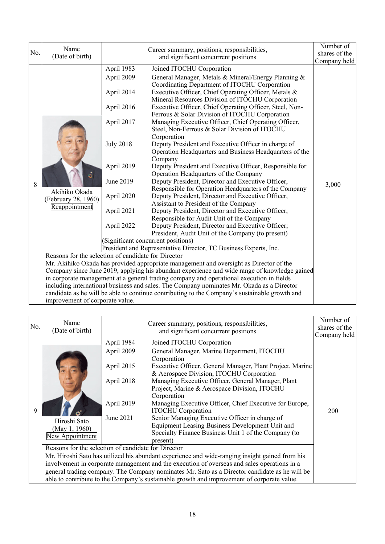|          | Name                                                                                                                                                                                                                          |                                                                                                                                                             | Number of                                                                                                                                                                                                                                                                                                                                                                                                                                                                                                                                                                                                                                                                                                                                                                                                                                                                                                                                                                                                                                                                                                                                                                                                                                                                                                                                                                                                                                                                                                                                                                                                                           |                                        |  |  |
|----------|-------------------------------------------------------------------------------------------------------------------------------------------------------------------------------------------------------------------------------|-------------------------------------------------------------------------------------------------------------------------------------------------------------|-------------------------------------------------------------------------------------------------------------------------------------------------------------------------------------------------------------------------------------------------------------------------------------------------------------------------------------------------------------------------------------------------------------------------------------------------------------------------------------------------------------------------------------------------------------------------------------------------------------------------------------------------------------------------------------------------------------------------------------------------------------------------------------------------------------------------------------------------------------------------------------------------------------------------------------------------------------------------------------------------------------------------------------------------------------------------------------------------------------------------------------------------------------------------------------------------------------------------------------------------------------------------------------------------------------------------------------------------------------------------------------------------------------------------------------------------------------------------------------------------------------------------------------------------------------------------------------------------------------------------------------|----------------------------------------|--|--|
|          |                                                                                                                                                                                                                               |                                                                                                                                                             |                                                                                                                                                                                                                                                                                                                                                                                                                                                                                                                                                                                                                                                                                                                                                                                                                                                                                                                                                                                                                                                                                                                                                                                                                                                                                                                                                                                                                                                                                                                                                                                                                                     |                                        |  |  |
| No.<br>8 | (Date of birth)<br>Akihiko Okada<br>(February 28, 1960)<br>Reappointment<br>Reasons for the selection of candidate for Director                                                                                               | April 1983<br>April 2009<br>April 2014<br>April 2016<br>April 2017<br><b>July 2018</b><br>April 2019<br>June 2019<br>April 2020<br>April 2021<br>April 2022 | Career summary, positions, responsibilities,<br>and significant concurrent positions<br>Joined ITOCHU Corporation<br>General Manager, Metals & Mineral/Energy Planning &<br>Coordinating Department of ITOCHU Corporation<br>Executive Officer, Chief Operating Officer, Metals &<br>Mineral Resources Division of ITOCHU Corporation<br>Executive Officer, Chief Operating Officer, Steel, Non-<br>Ferrous & Solar Division of ITOCHU Corporation<br>Managing Executive Officer, Chief Operating Officer,<br>Steel, Non-Ferrous & Solar Division of ITOCHU<br>Corporation<br>Deputy President and Executive Officer in charge of<br>Operation Headquarters and Business Headquarters of the<br>Company<br>Deputy President and Executive Officer, Responsible for<br>Operation Headquarters of the Company<br>Deputy President, Director and Executive Officer,<br>Responsible for Operation Headquarters of the Company<br>Deputy President, Director and Executive Officer,<br>Assistant to President of the Company<br>Deputy President, Director and Executive Officer,<br>Responsible for Audit Unit of the Company<br>Deputy President, Director and Executive Officer;<br>President, Audit Unit of the Company (to present)<br>(Significant concurrent positions)<br>President and Representative Director, TC Business Experts, Inc.<br>Mr. Akihiko Okada has provided appropriate management and oversight as Director of the<br>Company since June 2019, applying his abundant experience and wide range of knowledge gained<br>in corporate management at a general trading company and operational execution in fields | shares of the<br>Company held<br>3,000 |  |  |
|          | including international business and sales. The Company nominates Mr. Okada as a Director<br>candidate as he will be able to continue contributing to the Company's sustainable growth and<br>improvement of corporate value. |                                                                                                                                                             |                                                                                                                                                                                                                                                                                                                                                                                                                                                                                                                                                                                                                                                                                                                                                                                                                                                                                                                                                                                                                                                                                                                                                                                                                                                                                                                                                                                                                                                                                                                                                                                                                                     |                                        |  |  |

| No. | Name<br>(Date of birth)                                                                                 |                                                                                 | Career summary, positions, responsibilities,<br>and significant concurrent positions                                                                                                                                                                                                                                                                                                                                                                                                                                                                                                                                                                                                                                                                                                                                                                                                    | Number of<br>shares of the<br>Company held |  |  |  |
|-----|---------------------------------------------------------------------------------------------------------|---------------------------------------------------------------------------------|-----------------------------------------------------------------------------------------------------------------------------------------------------------------------------------------------------------------------------------------------------------------------------------------------------------------------------------------------------------------------------------------------------------------------------------------------------------------------------------------------------------------------------------------------------------------------------------------------------------------------------------------------------------------------------------------------------------------------------------------------------------------------------------------------------------------------------------------------------------------------------------------|--------------------------------------------|--|--|--|
| 9   | Hiroshi Sato<br>(May 1, 1960)<br>New Appointment<br>Reasons for the selection of candidate for Director | April 1984<br>April 2009<br>April 2015<br>April 2018<br>April 2019<br>June 2021 | Joined ITOCHU Corporation<br>General Manager, Marine Department, ITOCHU<br>Corporation<br>Executive Officer, General Manager, Plant Project, Marine<br>& Aerospace Division, ITOCHU Corporation<br>Managing Executive Officer, General Manager, Plant<br>Project, Marine & Aerospace Division, ITOCHU<br>Corporation<br>Managing Executive Officer, Chief Executive for Europe,<br><b>ITOCHU</b> Corporation<br>Senior Managing Executive Officer in charge of<br>Equipment Leasing Business Development Unit and<br>Specialty Finance Business Unit 1 of the Company (to<br>present)<br>Mr. Hiroshi Sato has utilized his abundant experience and wide-ranging insight gained from his<br>involvement in corporate management and the execution of overseas and sales operations in a<br>general trading company. The Company nominates Mr. Sato as a Director candidate as he will be | 200                                        |  |  |  |
|     | able to contribute to the Company's sustainable growth and improvement of corporate value.              |                                                                                 |                                                                                                                                                                                                                                                                                                                                                                                                                                                                                                                                                                                                                                                                                                                                                                                                                                                                                         |                                            |  |  |  |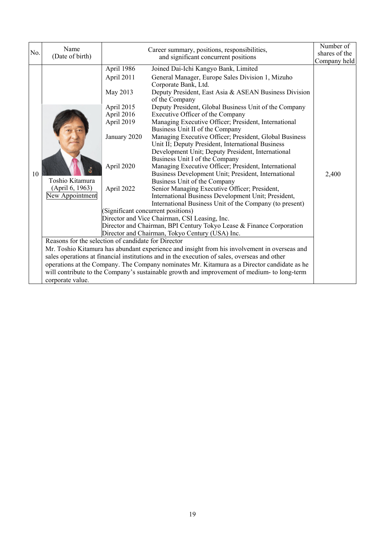| No. | Name<br>(Date of birth)                                                                                                          |                                                                                                                            | Career summary, positions, responsibilities,<br>and significant concurrent positions<br>Company held                                                                                                                                                                                                                                                                                                                                                                                                                                                                                                                                                                                                                                                                                                                                                                                                                                                                                                                                                                                                                                                                                                                                                                                                                                                                                                                                                                                                                        |       |  |
|-----|----------------------------------------------------------------------------------------------------------------------------------|----------------------------------------------------------------------------------------------------------------------------|-----------------------------------------------------------------------------------------------------------------------------------------------------------------------------------------------------------------------------------------------------------------------------------------------------------------------------------------------------------------------------------------------------------------------------------------------------------------------------------------------------------------------------------------------------------------------------------------------------------------------------------------------------------------------------------------------------------------------------------------------------------------------------------------------------------------------------------------------------------------------------------------------------------------------------------------------------------------------------------------------------------------------------------------------------------------------------------------------------------------------------------------------------------------------------------------------------------------------------------------------------------------------------------------------------------------------------------------------------------------------------------------------------------------------------------------------------------------------------------------------------------------------------|-------|--|
| 10  | Toshio Kitamura<br>(April 6, 1963)<br>New Appointment<br>Reasons for the selection of candidate for Director<br>corporate value. | April 1986<br>April 2011<br>May 2013<br>April 2015<br>April 2016<br>April 2019<br>January 2020<br>April 2020<br>April 2022 | Joined Dai-Ichi Kangyo Bank, Limited<br>General Manager, Europe Sales Division 1, Mizuho<br>Corporate Bank, Ltd.<br>Deputy President, East Asia & ASEAN Business Division<br>of the Company<br>Deputy President, Global Business Unit of the Company<br>Executive Officer of the Company<br>Managing Executive Officer; President, International<br>Business Unit II of the Company<br>Managing Executive Officer; President, Global Business<br>Unit II; Deputy President, International Business<br>Development Unit; Deputy President, International<br>Business Unit I of the Company<br>Managing Executive Officer; President, International<br>Business Development Unit; President, International<br>Business Unit of the Company<br>Senior Managing Executive Officer; President,<br>International Business Development Unit; President,<br>International Business Unit of the Company (to present)<br>(Significant concurrent positions)<br>Director and Vice Chairman, CSI Leasing, Inc.<br>Director and Chairman, BPI Century Tokyo Lease & Finance Corporation<br>Director and Chairman, Tokyo Century (USA) Inc.<br>Mr. Toshio Kitamura has abundant experience and insight from his involvement in overseas and<br>sales operations at financial institutions and in the execution of sales, overseas and other<br>operations at the Company. The Company nominates Mr. Kitamura as a Director candidate as he<br>will contribute to the Company's sustainable growth and improvement of medium- to long-term | 2,400 |  |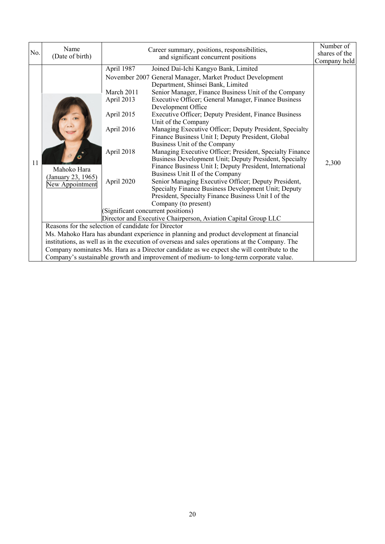| No. | Name<br>(Date of birth)                                                                                     |                                                                                                                                      | Career summary, positions, responsibilities,<br>and significant concurrent positions                                                                                                                                                                                                                                                                                                                                                                                                                                                                                                                                                                                                                                                                                                                                                                                                                                                                                                                                                                                                                                                                                                                                                                                                                                                                                                   | Number of<br>shares of the<br>Company held |
|-----|-------------------------------------------------------------------------------------------------------------|--------------------------------------------------------------------------------------------------------------------------------------|----------------------------------------------------------------------------------------------------------------------------------------------------------------------------------------------------------------------------------------------------------------------------------------------------------------------------------------------------------------------------------------------------------------------------------------------------------------------------------------------------------------------------------------------------------------------------------------------------------------------------------------------------------------------------------------------------------------------------------------------------------------------------------------------------------------------------------------------------------------------------------------------------------------------------------------------------------------------------------------------------------------------------------------------------------------------------------------------------------------------------------------------------------------------------------------------------------------------------------------------------------------------------------------------------------------------------------------------------------------------------------------|--------------------------------------------|
| 11  | Mahoko Hara<br>(January 23, 1965)<br>New Appointment<br>Reasons for the selection of candidate for Director | April 1987<br>March 2011<br>April 2013<br>April 2015<br>April 2016<br>April 2018<br>April 2020<br>(Significant concurrent positions) | Joined Dai-Ichi Kangyo Bank, Limited<br>November 2007 General Manager, Market Product Development<br>Department, Shinsei Bank, Limited<br>Senior Manager, Finance Business Unit of the Company<br>Executive Officer; General Manager, Finance Business<br>Development Office<br>Executive Officer; Deputy President, Finance Business<br>Unit of the Company<br>Managing Executive Officer; Deputy President, Specialty<br>Finance Business Unit I; Deputy President, Global<br>Business Unit of the Company<br>Managing Executive Officer; President, Specialty Finance<br>Business Development Unit; Deputy President, Specialty<br>Finance Business Unit I; Deputy President, International<br>Business Unit II of the Company<br>Senior Managing Executive Officer; Deputy President,<br>Specialty Finance Business Development Unit; Deputy<br>President, Specialty Finance Business Unit I of the<br>Company (to present)<br>Director and Executive Chairperson, Aviation Capital Group LLC<br>Ms. Mahoko Hara has abundant experience in planning and product development at financial<br>institutions, as well as in the execution of overseas and sales operations at the Company. The<br>Company nominates Ms. Hara as a Director candidate as we expect she will contribute to the<br>Company's sustainable growth and improvement of medium- to long-term corporate value. | 2,300                                      |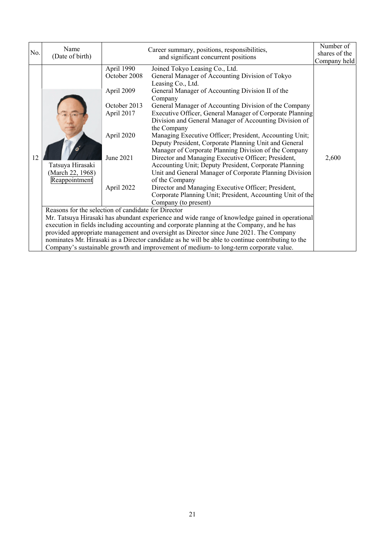| No. | Name<br>(Date of birth)                                                                                                                                                                     |                                                                                                                 | Career summary, positions, responsibilities,<br>and significant concurrent positions                                                                                                                                                                                                                                                                                                                                                                                                                                                                                                                                                                                                                                                                                                                                                                                                       | Number of<br>shares of the<br>Company held |  |  |  |
|-----|---------------------------------------------------------------------------------------------------------------------------------------------------------------------------------------------|-----------------------------------------------------------------------------------------------------------------|--------------------------------------------------------------------------------------------------------------------------------------------------------------------------------------------------------------------------------------------------------------------------------------------------------------------------------------------------------------------------------------------------------------------------------------------------------------------------------------------------------------------------------------------------------------------------------------------------------------------------------------------------------------------------------------------------------------------------------------------------------------------------------------------------------------------------------------------------------------------------------------------|--------------------------------------------|--|--|--|
| 12  | Tatsuya Hirasaki<br>March 22, 1968)<br>Reappointment                                                                                                                                        | April 1990<br>October 2008<br>April 2009<br>October 2013<br>April 2017<br>April 2020<br>June 2021<br>April 2022 | Joined Tokyo Leasing Co., Ltd.<br>General Manager of Accounting Division of Tokyo<br>Leasing Co., Ltd.<br>General Manager of Accounting Division II of the<br>Company<br>General Manager of Accounting Division of the Company<br>Executive Officer, General Manager of Corporate Planning<br>Division and General Manager of Accounting Division of<br>the Company<br>Managing Executive Officer; President, Accounting Unit;<br>Deputy President, Corporate Planning Unit and General<br>Manager of Corporate Planning Division of the Company<br>Director and Managing Executive Officer; President,<br>Accounting Unit; Deputy President, Corporate Planning<br>Unit and General Manager of Corporate Planning Division<br>of the Company<br>Director and Managing Executive Officer; President,<br>Corporate Planning Unit; President, Accounting Unit of the<br>Company (to present) | 2,600                                      |  |  |  |
|     | Reasons for the selection of candidate for Director<br>Mr. Tatsuya Hirasaki has abundant experience and wide range of knowledge gained in operational                                       |                                                                                                                 |                                                                                                                                                                                                                                                                                                                                                                                                                                                                                                                                                                                                                                                                                                                                                                                                                                                                                            |                                            |  |  |  |
|     | execution in fields including accounting and corporate planning at the Company, and he has                                                                                                  |                                                                                                                 |                                                                                                                                                                                                                                                                                                                                                                                                                                                                                                                                                                                                                                                                                                                                                                                                                                                                                            |                                            |  |  |  |
|     | provided appropriate management and oversight as Director since June 2021. The Company<br>nominates Mr. Hirasaki as a Director candidate as he will be able to continue contributing to the |                                                                                                                 |                                                                                                                                                                                                                                                                                                                                                                                                                                                                                                                                                                                                                                                                                                                                                                                                                                                                                            |                                            |  |  |  |
|     | Company's sustainable growth and improvement of medium- to long-term corporate value.                                                                                                       |                                                                                                                 |                                                                                                                                                                                                                                                                                                                                                                                                                                                                                                                                                                                                                                                                                                                                                                                                                                                                                            |                                            |  |  |  |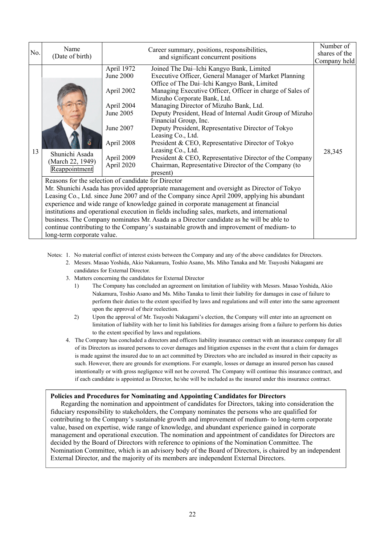| No. | Name<br>(Date of birth)                                                                                                                  |                                                                                                                         | Career summary, positions, responsibilities,<br>and significant concurrent positions                                                                                                                                                                                                                                                                                                                                                                                                                                                                                                                                                                                                                                                                                                                                                                                                                                                                                                                                                                                                                                                                                                                                                    | Number of<br>shares of the<br>Company held |
|-----|------------------------------------------------------------------------------------------------------------------------------------------|-------------------------------------------------------------------------------------------------------------------------|-----------------------------------------------------------------------------------------------------------------------------------------------------------------------------------------------------------------------------------------------------------------------------------------------------------------------------------------------------------------------------------------------------------------------------------------------------------------------------------------------------------------------------------------------------------------------------------------------------------------------------------------------------------------------------------------------------------------------------------------------------------------------------------------------------------------------------------------------------------------------------------------------------------------------------------------------------------------------------------------------------------------------------------------------------------------------------------------------------------------------------------------------------------------------------------------------------------------------------------------|--------------------------------------------|
| 13  | Shunichi Asada<br>(March 22, 1949)<br>Reappointment<br>Reasons for the selection of candidate for Director<br>long-term corporate value. | April 1972<br>June 2000<br>April 2002<br>April 2004<br>June 2005<br>June 2007<br>April 2008<br>April 2009<br>April 2020 | Joined The Dai-Ichi Kangyo Bank, Limited<br>Executive Officer, General Manager of Market Planning<br>Office of The Dai-Ichi Kangyo Bank, Limited<br>Managing Executive Officer, Officer in charge of Sales of<br>Mizuho Corporate Bank, Ltd.<br>Managing Director of Mizuho Bank, Ltd.<br>Deputy President, Head of Internal Audit Group of Mizuho<br>Financial Group, Inc.<br>Deputy President, Representative Director of Tokyo<br>Leasing Co., Ltd.<br>President & CEO, Representative Director of Tokyo<br>Leasing Co., Ltd.<br>President & CEO, Representative Director of the Company<br>Chairman, Representative Director of the Company (to<br>present)<br>Mr. Shunichi Asada has provided appropriate management and oversight as Director of Tokyo<br>Leasing Co., Ltd. since June 2007 and of the Company since April 2009, applying his abundant<br>experience and wide range of knowledge gained in corporate management at financial<br>institutions and operational execution in fields including sales, markets, and international<br>business. The Company nominates Mr. Asada as a Director candidate as he will be able to<br>continue contributing to the Company's sustainable growth and improvement of medium-to | 28,345                                     |

Notes: 1. No material conflict of interest exists between the Company and any of the above candidates for Directors.

- 2. Messrs. Masao Yoshida, Akio Nakamura, Toshio Asano, Ms. Miho Tanaka and Mr. Tsuyoshi Nakagami are candidates for External Director.
- 3. Matters concerning the candidates for External Director

 $\overline{a}$ 

- 1) The Company has concluded an agreement on limitation of liability with Messrs. Masao Yoshida, Akio Nakamura, Toshio Asano and Ms. Miho Tanaka to limit their liability for damages in case of failure to perform their duties to the extent specified by laws and regulations and will enter into the same agreement upon the approval of their reelection.
- 2) Upon the approval of Mr. Tsuyoshi Nakagami's election, the Company will enter into an agreement on limitation of liability with her to limit his liabilities for damages arising from a failure to perform his duties to the extent specified by laws and regulations.
- 4. The Company has concluded a directors and officers liability insurance contract with an insurance company for all of its Directors as insured persons to cover damages and litigation expenses in the event that a claim for damages is made against the insured due to an act committed by Directors who are included as insured in their capacity as such. However, there are grounds for exemptions. For example, losses or damage an insured person has caused intentionally or with gross negligence will not be covered. The Company will continue this insurance contract, and if each candidate is appointed as Director, he/she will be included as the insured under this insurance contract.

#### **Policies and Procedures for Nominating and Appointing Candidates for Directors**

Regarding the nomination and appointment of candidates for Directors, taking into consideration the fiduciary responsibility to stakeholders, the Company nominates the persons who are qualified for contributing to the Company's sustainable growth and improvement of medium- to long-term corporate value, based on expertise, wide range of knowledge, and abundant experience gained in corporate management and operational execution. The nomination and appointment of candidates for Directors are decided by the Board of Directors with reference to opinions of the Nomination Committee. The Nomination Committee, which is an advisory body of the Board of Directors, is chaired by an independent External Director, and the majority of its members are independent External Directors.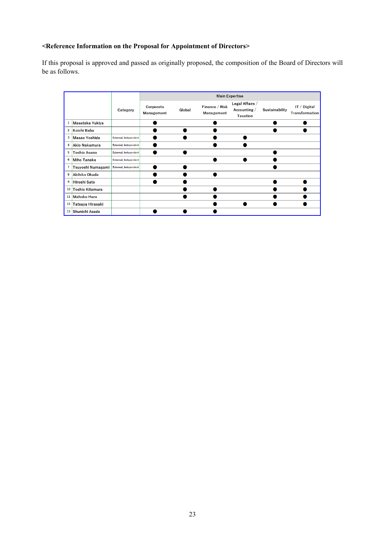# **<Reference Information on the Proposal for Appointment of Directors>**

If this proposal is approved and passed as originally proposed, the composition of the Board of Directors will be as follows.

|                 |                        |                              |                                | <b>Main Expertise</b> |                                     |                                                    |                       |                                       |
|-----------------|------------------------|------------------------------|--------------------------------|-----------------------|-------------------------------------|----------------------------------------------------|-----------------------|---------------------------------------|
|                 |                        | <b>Category</b>              | Corporate<br><b>Management</b> | Global                | Finance / Risk<br><b>Management</b> | Legal Affairs /<br>Accounting /<br><b>Taxation</b> | <b>Sustainability</b> | IT / Digital<br><b>Transformation</b> |
| 1               | Masataka Yukiya        |                              |                                |                       |                                     |                                                    |                       |                                       |
| $\overline{2}$  | Koichi Baba            |                              |                                |                       |                                     |                                                    |                       |                                       |
| 3               | <b>Masao Yoshida</b>   | <b>External, Independent</b> |                                |                       |                                     |                                                    |                       |                                       |
| 4               | <b>Akio Nakamura</b>   | <b>External, Independent</b> |                                |                       |                                     |                                                    |                       |                                       |
| 5               | <b>Toshio Asano</b>    | External, Independent        |                                |                       |                                     |                                                    |                       |                                       |
| 6               | <b>Miho Tanaka</b>     | External, Independent        |                                |                       |                                     |                                                    |                       |                                       |
| $\overline{7}$  | Tsuyoshi Numagami      | External, Independent        |                                |                       |                                     |                                                    |                       |                                       |
| 8               | <b>Akihiko Okada</b>   |                              |                                |                       |                                     |                                                    |                       |                                       |
| 9               | <b>Hiroshi Sato</b>    |                              |                                |                       |                                     |                                                    |                       |                                       |
| 10              | <b>Toshio Kitamura</b> |                              |                                |                       |                                     |                                                    |                       |                                       |
| 11              | <b>Mahoko Hara</b>     |                              |                                |                       |                                     |                                                    |                       |                                       |
| 12 <sup>1</sup> | Tatsuya Hirasaki       |                              |                                |                       |                                     |                                                    |                       |                                       |
| 13 <sup>1</sup> | Shunichi Asada         |                              |                                |                       |                                     |                                                    |                       |                                       |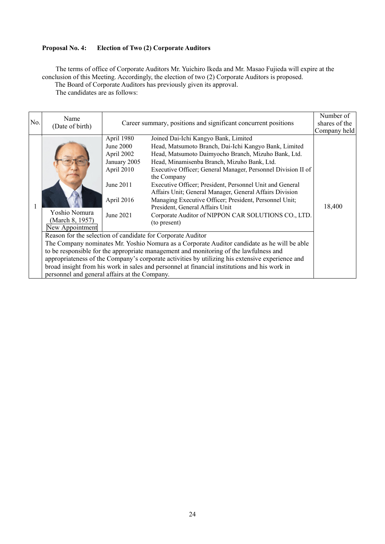# **Proposal No. 4: Election of Two (2) Corporate Auditors**

The terms of office of Corporate Auditors Mr. Yuichiro Ikeda and Mr. Masao Fujieda will expire at the conclusion of this Meeting. Accordingly, the election of two (2) Corporate Auditors is proposed. The Board of Corporate Auditors has previously given its approval.

The candidates are as follows:

| April 1980<br>Joined Dai-Ichi Kangyo Bank, Limited<br>Head, Matsumoto Branch, Dai-Ichi Kangyo Bank, Limited<br>June 2000<br>Head, Matsumoto Daimyocho Branch, Mizuho Bank, Ltd.<br>April 2002<br>Head, Minamisenba Branch, Mizuho Bank, Ltd.<br>January 2005<br>April 2010<br>Executive Officer; General Manager, Personnel Division II of<br>the Company<br>June 2011<br>Executive Officer; President, Personnel Unit and General<br>Affairs Unit; General Manager, General Affairs Division<br>Managing Executive Officer; President, Personnel Unit;<br>April 2016<br>18,400<br>President, General Affairs Unit<br>Yoshio Nomura<br>Corporate Auditor of NIPPON CAR SOLUTIONS CO., LTD.<br>June 2021<br>(March 8, 1957)<br>(to present)<br>New Appointment<br>Reason for the selection of candidate for Corporate Auditor<br>The Company nominates Mr. Yoshio Nomura as a Corporate Auditor candidate as he will be able<br>to be responsible for the appropriate management and monitoring of the lawfulness and<br>appropriateness of the Company's corporate activities by utilizing his extensive experience and<br>broad insight from his work in sales and personnel at financial institutions and his work in<br>personnel and general affairs at the Company. | No. | Name<br>(Date of birth) | Career summary, positions and significant concurrent positions<br>Company held |  |  |
|--------------------------------------------------------------------------------------------------------------------------------------------------------------------------------------------------------------------------------------------------------------------------------------------------------------------------------------------------------------------------------------------------------------------------------------------------------------------------------------------------------------------------------------------------------------------------------------------------------------------------------------------------------------------------------------------------------------------------------------------------------------------------------------------------------------------------------------------------------------------------------------------------------------------------------------------------------------------------------------------------------------------------------------------------------------------------------------------------------------------------------------------------------------------------------------------------------------------------------------------------------------------------|-----|-------------------------|--------------------------------------------------------------------------------|--|--|
|                                                                                                                                                                                                                                                                                                                                                                                                                                                                                                                                                                                                                                                                                                                                                                                                                                                                                                                                                                                                                                                                                                                                                                                                                                                                          |     |                         |                                                                                |  |  |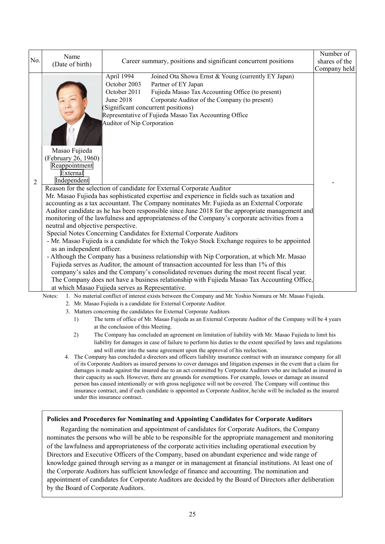|                | Name                                                                                                                                                 |                                                                                                                                                                                                                                                                                                                                                                                                                                                                                                                                                                                                                                                                                                                                                                                                                                                                                                                                                                                                                                                                                                                                                                                                                     | Number of     |
|----------------|------------------------------------------------------------------------------------------------------------------------------------------------------|---------------------------------------------------------------------------------------------------------------------------------------------------------------------------------------------------------------------------------------------------------------------------------------------------------------------------------------------------------------------------------------------------------------------------------------------------------------------------------------------------------------------------------------------------------------------------------------------------------------------------------------------------------------------------------------------------------------------------------------------------------------------------------------------------------------------------------------------------------------------------------------------------------------------------------------------------------------------------------------------------------------------------------------------------------------------------------------------------------------------------------------------------------------------------------------------------------------------|---------------|
| No.            | (Date of birth)                                                                                                                                      | Career summary, positions and significant concurrent positions                                                                                                                                                                                                                                                                                                                                                                                                                                                                                                                                                                                                                                                                                                                                                                                                                                                                                                                                                                                                                                                                                                                                                      | shares of the |
|                |                                                                                                                                                      |                                                                                                                                                                                                                                                                                                                                                                                                                                                                                                                                                                                                                                                                                                                                                                                                                                                                                                                                                                                                                                                                                                                                                                                                                     | Company held  |
| $\overline{2}$ | Masao Fujieda<br>(February 26, 1960)<br>Reappointment<br>External<br>Independent<br>neutral and objective perspective.<br>as an independent officer. | April 1994<br>Joined Ota Showa Ernst & Young (currently EY Japan)<br>October 2003<br>Partner of EY Japan<br>October 2011<br>Fujieda Masao Tax Accounting Office (to present)<br>June 2018<br>Corporate Auditor of the Company (to present)<br>(Significant concurrent positions)<br>Representative of Fujieda Masao Tax Accounting Office<br>Auditor of Nip Corporation<br>Reason for the selection of candidate for External Corporate Auditor<br>Mr. Masao Fujieda has sophisticated expertise and experience in fields such as taxation and<br>accounting as a tax accountant. The Company nominates Mr. Fujieda as an External Corporate<br>Auditor candidate as he has been responsible since June 2018 for the appropriate management and<br>monitoring of the lawfulness and appropriateness of the Company's corporate activities from a<br>Special Notes Concerning Candidates for External Corporate Auditors<br>- Mr. Masao Fujieda is a candidate for which the Tokyo Stock Exchange requires to be appointed<br>- Although the Company has a business relationship with Nip Corporation, at which Mr. Masao<br>Fujieda serves as Auditor, the amount of transaction accounted for less than 1% of this |               |
|                |                                                                                                                                                      | company's sales and the Company's consolidated revenues during the most recent fiscal year.                                                                                                                                                                                                                                                                                                                                                                                                                                                                                                                                                                                                                                                                                                                                                                                                                                                                                                                                                                                                                                                                                                                         |               |
|                |                                                                                                                                                      | The Company does not have a business relationship with Fujieda Masao Tax Accounting Office,                                                                                                                                                                                                                                                                                                                                                                                                                                                                                                                                                                                                                                                                                                                                                                                                                                                                                                                                                                                                                                                                                                                         |               |
|                |                                                                                                                                                      | at which Masao Fujieda serves as Representative.                                                                                                                                                                                                                                                                                                                                                                                                                                                                                                                                                                                                                                                                                                                                                                                                                                                                                                                                                                                                                                                                                                                                                                    |               |
|                | Notes:                                                                                                                                               | 1. No material conflict of interest exists between the Company and Mr. Yoshio Nomura or Mr. Masao Fujieda.                                                                                                                                                                                                                                                                                                                                                                                                                                                                                                                                                                                                                                                                                                                                                                                                                                                                                                                                                                                                                                                                                                          |               |
|                |                                                                                                                                                      | 2. Mr. Masao Fujieda is a candidate for External Corporate Auditor.                                                                                                                                                                                                                                                                                                                                                                                                                                                                                                                                                                                                                                                                                                                                                                                                                                                                                                                                                                                                                                                                                                                                                 |               |
|                |                                                                                                                                                      | 3. Matters concerning the candidates for External Corporate Auditors                                                                                                                                                                                                                                                                                                                                                                                                                                                                                                                                                                                                                                                                                                                                                                                                                                                                                                                                                                                                                                                                                                                                                |               |
|                | 1)                                                                                                                                                   | The term of office of Mr. Masao Fujieda as an External Corporate Auditor of the Company will be 4 years                                                                                                                                                                                                                                                                                                                                                                                                                                                                                                                                                                                                                                                                                                                                                                                                                                                                                                                                                                                                                                                                                                             |               |
|                |                                                                                                                                                      | at the conclusion of this Meeting.                                                                                                                                                                                                                                                                                                                                                                                                                                                                                                                                                                                                                                                                                                                                                                                                                                                                                                                                                                                                                                                                                                                                                                                  |               |
|                | 2)                                                                                                                                                   | The Company has concluded an agreement on limitation of liability with Mr. Masao Fujieda to limit his                                                                                                                                                                                                                                                                                                                                                                                                                                                                                                                                                                                                                                                                                                                                                                                                                                                                                                                                                                                                                                                                                                               |               |
|                |                                                                                                                                                      | liability for damages in case of failure to perform his duties to the extent specified by laws and regulations                                                                                                                                                                                                                                                                                                                                                                                                                                                                                                                                                                                                                                                                                                                                                                                                                                                                                                                                                                                                                                                                                                      |               |

and will enter into the same agreement upon the approval of his reelection. 4. The Company has concluded a directors and officers liability insurance contract with an insurance company for all of its Corporate Auditors as insured persons to cover damages and litigation expenses in the event that a claim for damages is made against the insured due to an act committed by Corporate Auditors who are included as insured in their capacity as such. However, there are grounds for exemptions. For example, losses or damage an insured person has caused intentionally or with gross negligence will not be covered. The Company will continue this insurance contract, and if each candidate is appointed as Corporate Auditor, he/she will be included as the insured under this insurance contract.

#### **Policies and Procedures for Nominating and Appointing Candidates for Corporate Auditors**

 Regarding the nomination and appointment of candidates for Corporate Auditors, the Company nominates the persons who will be able to be responsible for the appropriate management and monitoring of the lawfulness and appropriateness of the corporate activities including operational execution by Directors and Executive Officers of the Company, based on abundant experience and wide range of knowledge gained through serving as a manger or in management at financial institutions. At least one of the Corporate Auditors has sufficient knowledge of finance and accounting. The nomination and appointment of candidates for Corporate Auditors are decided by the Board of Directors after deliberation by the Board of Corporate Auditors.